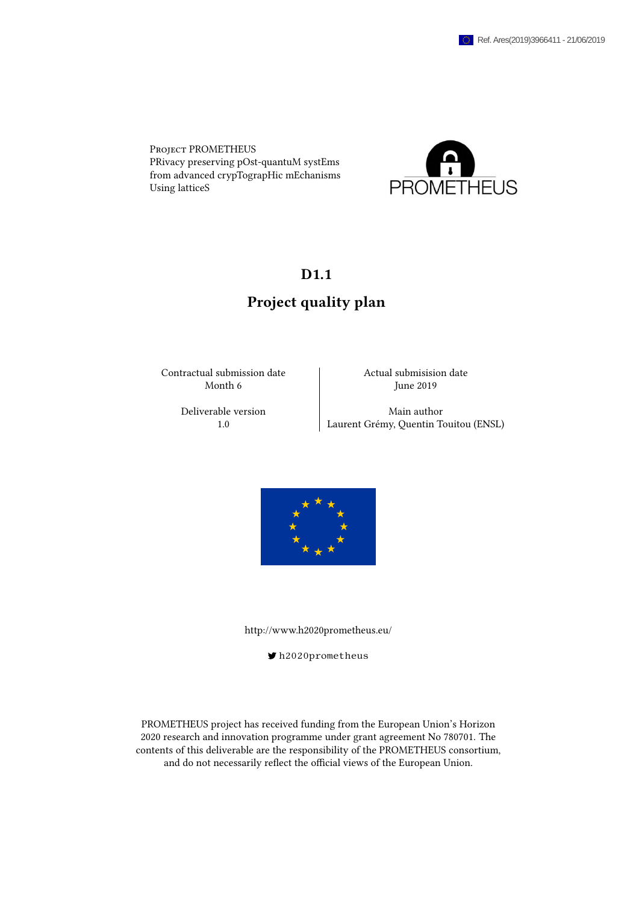Project PROMETHEUS PRivacy preserving pOst-quantuM systEms from advanced crypTograpHic mEchanisms Using latticeS



## D<sub>1.1</sub>

## Project quality plan

Contractual submission date Actual submisision date Month 6 June 2019

Deliverable version Main author 1.0 Laurent Grémy, Quentin Touitou (ENSL)



<http://www.h2020prometheus.eu/>

[h2020prometheus](https://twitter.com/h2020prometheus)

PROMETHEUS project has received funding from the European Union's Horizon 2020 research and innovation programme under grant agreement No 780701. The contents of this deliverable are the responsibility of the PROMETHEUS consortium, and do not necessarily reflect the official views of the European Union.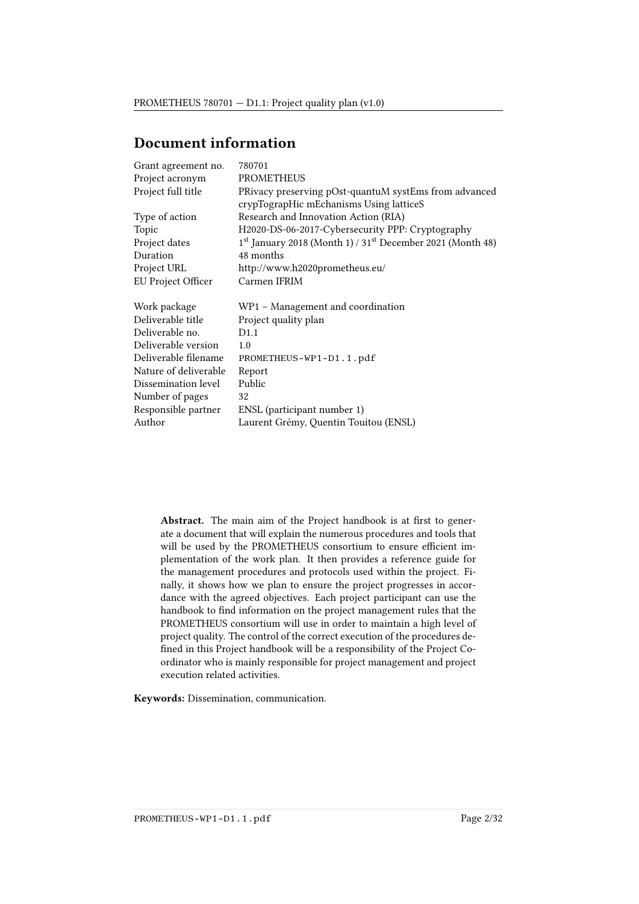## Document information

| Grant agreement no.   | 780701                                                     |
|-----------------------|------------------------------------------------------------|
| Project acronym       | <b>PROMETHEUS</b>                                          |
| Project full title    | PRivacy preserving pOst-quantuM systEms from advanced      |
|                       | crypTograpHic mEchanisms Using latticeS                    |
| Type of action        | Research and Innovation Action (RIA)                       |
| Topic                 | H2020-DS-06-2017-Cybersecurity PPP: Cryptography           |
| Project dates         | 1st January 2018 (Month 1) / 31st December 2021 (Month 48) |
| Duration              | 48 months                                                  |
| Project URL           | http://www.h2020prometheus.eu/                             |
| EU Project Officer    | Carmen IFRIM                                               |
|                       |                                                            |
| Work package          | WP1 - Management and coordination                          |
| Deliverable title     | Project quality plan                                       |
| Deliverable no.       | D1.1                                                       |
| Deliverable version   | 1.0                                                        |
| Deliverable filename  | PROMETHEUS-WP1-D1.1.pdf                                    |
| Nature of deliverable | Report                                                     |
| Dissemination level   | Public                                                     |
| Number of pages       | 32                                                         |
| Responsible partner   | ENSL (participant number 1)                                |
| Author                | Laurent Grémy, Quentin Touitou (ENSL)                      |
|                       |                                                            |

Abstract. The main aim of the Project handbook is at first to generate a document that will explain the numerous procedures and tools that will be used by the PROMETHEUS consortium to ensure efficient implementation of the work plan. It then provides a reference guide for the management procedures and protocols used within the project. Finally, it shows how we plan to ensure the project progresses in accordance with the agreed objectives. Each project participant can use the handbook to find information on the project management rules that the PROMETHEUS consortium will use in order to maintain a high level of project quality. The control of the correct execution of the procedures de fined in this Project handbook will be a responsibility of the Project Coordinator who is mainly responsible for project management and project execution related activities.

Keywords: Dissemination, communication.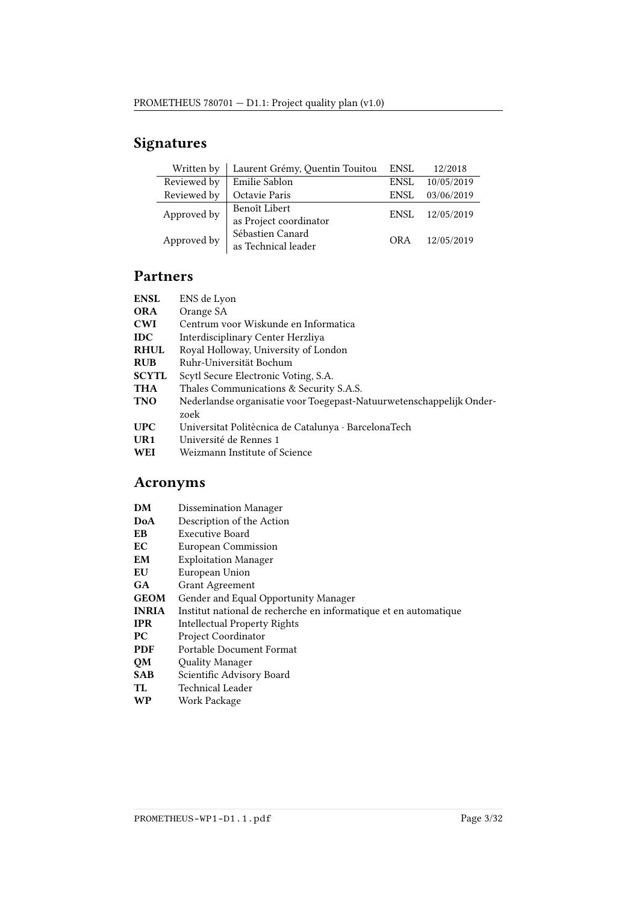# Signatures

| Written by  | Laurent Grémy, Quentin Touitou          | <b>ENSL</b> | 12/2018    |
|-------------|-----------------------------------------|-------------|------------|
| Reviewed by | Emilie Sablon                           | ENSL        | 10/05/2019 |
| Reviewed by | Octavie Paris                           | ENSI.       | 03/06/2019 |
| Approved by | Benoît Libert<br>as Project coordinator | ENSL        | 12/05/2019 |
| Approved by | Sébastien Canard<br>as Technical leader | OR A        | 12/05/2019 |

## Partners

| ENS de Lyon                                                                  |
|------------------------------------------------------------------------------|
| Orange SA                                                                    |
| Centrum voor Wiskunde en Informatica                                         |
| Interdisciplinary Center Herzliya                                            |
| Royal Holloway, University of London                                         |
| Ruhr-Universität Bochum                                                      |
| Scytl Secure Electronic Voting, S.A.                                         |
| Thales Communications & Security S.A.S.                                      |
| Nederlandse organisatie voor Toegepast-Natuurwetenschappelijk Onder-<br>zoek |
| Universitat Politècnica de Catalunya · BarcelonaTech                         |
| Université de Rennes 1                                                       |
| Weizmann Institute of Science                                                |
|                                                                              |

# Acronyms

| DM           | <b>Dissemination Manager</b>                                     |
|--------------|------------------------------------------------------------------|
| DoA          | Description of the Action                                        |
| EВ           | Executive Board                                                  |
| EС           | European Commission                                              |
| EM           | <b>Exploitation Manager</b>                                      |
| EU           | European Union                                                   |
| GA           | <b>Grant Agreement</b>                                           |
| <b>GEOM</b>  | Gender and Equal Opportunity Manager                             |
| <b>INRIA</b> | Institut national de recherche en informatique et en automatique |
| <b>IPR</b>   | Intellectual Property Rights                                     |
| PС           | Project Coordinator                                              |
| <b>PDF</b>   | Portable Document Format                                         |
| QM           | <b>Quality Manager</b>                                           |
| <b>SAB</b>   | Scientific Advisory Board                                        |
| TL           | Technical Leader                                                 |
| WP           | Work Package                                                     |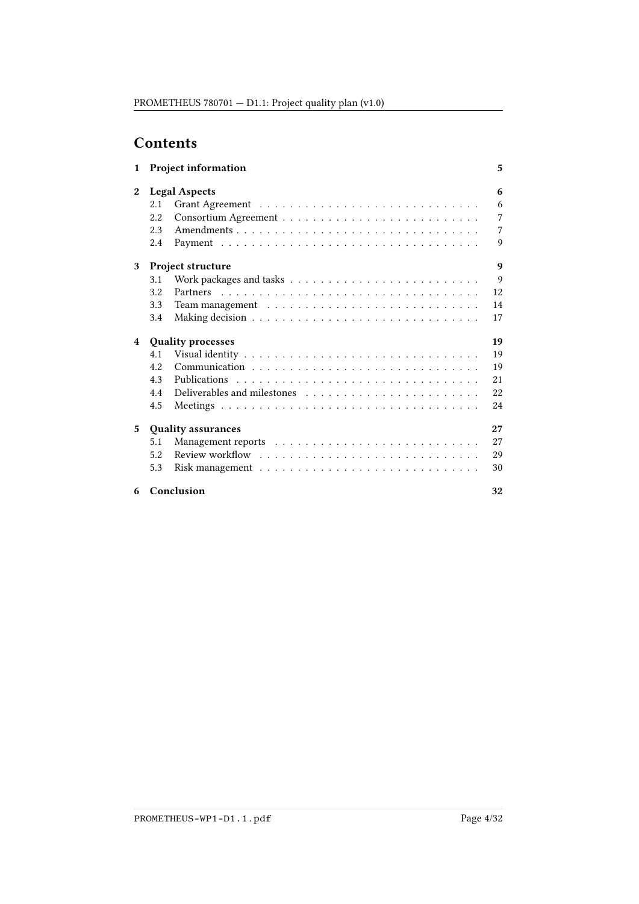## **Contents**

| $\mathbf{1}$   |      | <b>Project information</b>                                                                                                                                                                                                    | 5  |
|----------------|------|-------------------------------------------------------------------------------------------------------------------------------------------------------------------------------------------------------------------------------|----|
| $\mathbf{2}$   |      | <b>Legal Aspects</b>                                                                                                                                                                                                          | 6  |
|                | 2.1  |                                                                                                                                                                                                                               | 6  |
|                | 2.2  |                                                                                                                                                                                                                               | 7  |
|                | 2.3  | Amendments                                                                                                                                                                                                                    | 7  |
|                | 2.4  |                                                                                                                                                                                                                               | 9  |
| 3              |      | Project structure                                                                                                                                                                                                             | 9  |
|                | 3.1  | Work packages and tasks $\ldots \ldots \ldots \ldots \ldots \ldots \ldots \ldots$                                                                                                                                             | 9  |
|                | 3.2  |                                                                                                                                                                                                                               | 12 |
|                | 3.3  |                                                                                                                                                                                                                               | 14 |
|                | 3.4  |                                                                                                                                                                                                                               | 17 |
| $\overline{4}$ |      | <b>Quality processes</b>                                                                                                                                                                                                      | 19 |
|                | 4.1  |                                                                                                                                                                                                                               | 19 |
|                | 4.2. |                                                                                                                                                                                                                               | 19 |
|                | 4.3  |                                                                                                                                                                                                                               | 21 |
|                | 4.4  | Deliverables and milestones enterprise in the set of the set of the set of the set of the set of the set of the set of the set of the set of the set of the set of the set of the set of the set of the set of the set of the | 22 |
|                | 4.5  |                                                                                                                                                                                                                               | 24 |
| 5              |      | <b>Quality assurances</b>                                                                                                                                                                                                     | 27 |
|                | 5.1  |                                                                                                                                                                                                                               | 27 |
|                | 5.2  |                                                                                                                                                                                                                               | 29 |
|                | 5.3  |                                                                                                                                                                                                                               | 30 |
| 6              |      | Conclusion                                                                                                                                                                                                                    | 32 |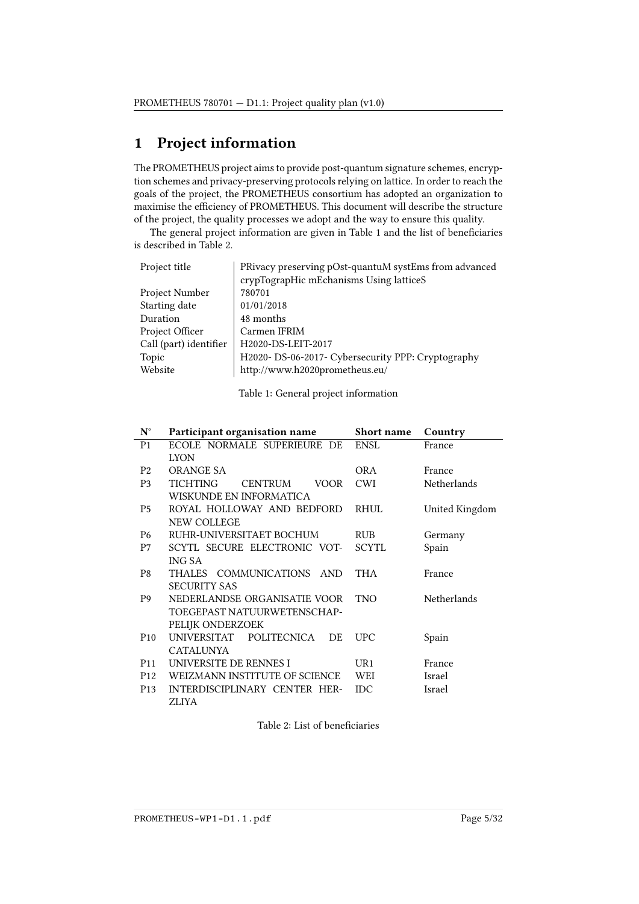## <span id="page-4-0"></span>1 Project information

The PROMETHEUS project aims to provide post-quantum signature schemes, encryption schemes and privacy-preserving protocols relying on lattice. In order to reach the goals of the project, the PROMETHEUS consortium has adopted an organization to maximise the efficiency of PROMETHEUS. This document will describe the structure of the project, the quality processes we adopt and the way to ensure this quality.

The general project information are given in Table [1](#page-4-1) and the list of beneficiaries is described in Table [2.](#page-4-2)

<span id="page-4-1"></span>

| PRivacy preserving pOst-quantuM systEms from advanced |  |
|-------------------------------------------------------|--|
| crypTograpHic mEchanisms Using latticeS               |  |
| 780701                                                |  |
| 01/01/2018                                            |  |
| 48 months                                             |  |
| Carmen IFRIM                                          |  |
| H2020-DS-LEIT-2017                                    |  |
| H2020- DS-06-2017- Cybersecurity PPP: Cryptography    |  |
| http://www.h2020prometheus.eu/                        |  |
|                                                       |  |

Table 1: General project information

<span id="page-4-2"></span>

| $N^{\circ}$     | Participant organisation name                        | Short name   | Country        |
|-----------------|------------------------------------------------------|--------------|----------------|
| P <sub>1</sub>  | ECOLE NORMALE SUPERIEURE DE                          | <b>ENSL</b>  | France         |
|                 | <b>LYON</b>                                          |              |                |
| P <sub>2</sub>  | ORANGE SA                                            | OR A         | France         |
| P <sub>3</sub>  | TICHTING<br><b>CENTRUM</b><br>VOOR                   | <b>CWI</b>   | Netherlands    |
|                 | WISKUNDE EN INFORMATICA                              |              |                |
| <b>P5</b>       | ROYAL HOLLOWAY AND BEDFORD                           | <b>RHUL</b>  | United Kingdom |
|                 | NEW COLLEGE                                          |              |                |
| P <sub>6</sub>  | RUHR-UNIVERSITAET BOCHUM                             | <b>RUB</b>   | Germany        |
| P7              | SCYTL SECURE ELECTRONIC VOT-                         | <b>SCYTL</b> | Spain          |
|                 | <b>ING SA</b>                                        |              |                |
| P8              | <b>COMMUNICATIONS</b><br><b>THALES</b><br><b>AND</b> | <b>THA</b>   | France         |
|                 | <b>SECURITY SAS</b>                                  |              |                |
| P9              | NEDERLANDSE ORGANISATIE VOOR                         | TNO          | Netherlands    |
|                 | TOEGEPAST NATUURWETENSCHAP-                          |              |                |
|                 | PELIJK ONDERZOEK                                     |              |                |
| P <sub>10</sub> | <b>UNIVERSITAT</b><br><b>POLITECNICA</b><br>DE       | UPC          | Spain          |
|                 | <b>CATALUNYA</b>                                     |              |                |
| P <sub>11</sub> | UNIVERSITE DE RENNES I                               | UR1          | France         |
| P <sub>12</sub> | WEIZMANN INSTITUTE OF SCIENCE                        | WEI          | Israel         |
| P <sub>13</sub> | INTERDISCIPLINARY CENTER HER-                        | <b>IDC</b>   | Israel         |
|                 | ZLIYA                                                |              |                |

Table 2: List of beneficiaries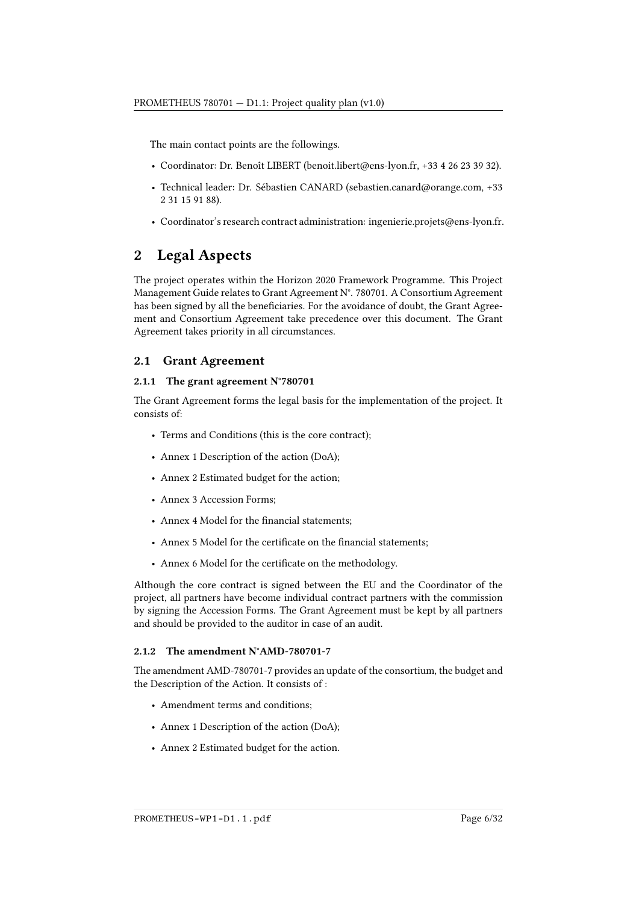The main contact points are the followings.

- Coordinator: Dr. Benoît LIBERT [\(benoit.libert@ens-lyon.fr,](mailto:benoit.libert@ens-lyon.fr) +33 4 26 23 39 32).
- Technical leader: Dr. Sébastien CANARD [\(sebastien.canard@orange.com,](mailto:sebastien.canard@orange.com) +33 2 31 15 91 88).
- Coordinator's research contract administration: [ingenierie.projets@ens-lyon.fr.](mailto:ingenierie.projets@ens-lyon.fr)

## <span id="page-5-0"></span>2 Legal Aspects

The project operates within the Horizon 2020 Framework Programme. This Project Management Guide relates to Grant Agreement N°. 780701. A Consortium Agreement has been signed by all the beneficiaries. For the avoidance of doubt, the Grant Agreement and Consortium Agreement take precedence over this document. The Grant Agreement takes priority in all circumstances.

## <span id="page-5-1"></span>2.1 Grant Agreement

#### 2.1.1 The grant agreement N°780701

The Grant Agreement forms the legal basis for the implementation of the project. It consists of:

- Terms and Conditions (this is the core contract);
- Annex 1 Description of the action (DoA);
- Annex 2 Estimated budget for the action;
- Annex 3 Accession Forms;
- Annex 4 Model for the financial statements;
- Annex 5 Model for the certificate on the financial statements;
- Annex 6 Model for the certificate on the methodology.

Although the core contract is signed between the EU and the Coordinator of the project, all partners have become individual contract partners with the commission by signing the Accession Forms. The Grant Agreement must be kept by all partners and should be provided to the auditor in case of an audit.

#### 2.1.2 The amendment N°AMD-780701-7

The amendment AMD-780701-7 provides an update of the consortium, the budget and the Description of the Action. It consists of :

- Amendment terms and conditions;
- Annex 1 Description of the action (DoA);
- Annex 2 Estimated budget for the action.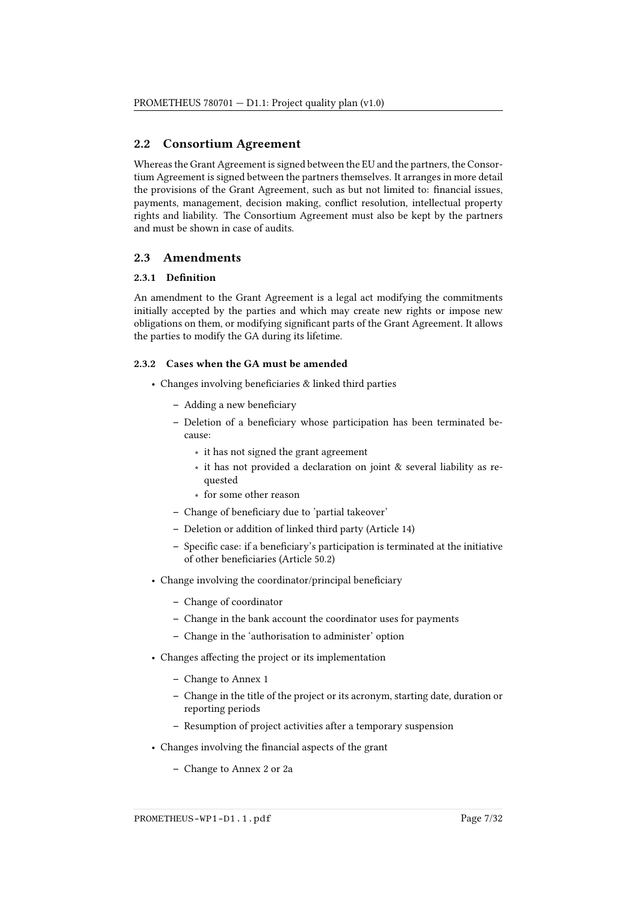## <span id="page-6-0"></span>2.2 Consortium Agreement

Whereas the Grant Agreement is signed between the EU and the partners, the Consortium Agreement is signed between the partners themselves. It arranges in more detail the provisions of the Grant Agreement, such as but not limited to: financial issues, payments, management, decision making, conflict resolution, intellectual property rights and liability. The Consortium Agreement must also be kept by the partners and must be shown in case of audits.

### <span id="page-6-1"></span>2.3 Amendments

#### 2.3.1 Definition

An amendment to the Grant Agreement is a legal act modifying the commitments initially accepted by the parties and which may create new rights or impose new obligations on them, or modifying significant parts of the Grant Agreement. It allows the parties to modify the GA during its lifetime.

#### 2.3.2 Cases when the GA must be amended

- $\bullet$  Changes involving beneficiaries & linked third parties
	- Adding a new beneficiary
	- Deletion of a beneficiary whose participation has been terminated because:
		- ∗ it has not signed the grant agreement
		- ∗ it has not provided a declaration on joint & several liability as requested
		- ∗ for some other reason
	- Change of beneficiary due to 'partial takeover'
	- Deletion or addition of linked third party (Article 14)
	- Specific case: if a beneficiary's participation is terminated at the initiative of other beneficiaries (Article 50.2)
- Change involving the coordinator/principal beneficiary
	- Change of coordinator
	- Change in the bank account the coordinator uses for payments
	- Change in the 'authorisation to administer' option
- Changes affecting the project or its implementation
	- Change to Annex 1
	- Change in the title of the project or its acronym, starting date, duration or reporting periods
	- Resumption of project activities after a temporary suspension
- Changes involving the financial aspects of the grant
	- Change to Annex 2 or 2a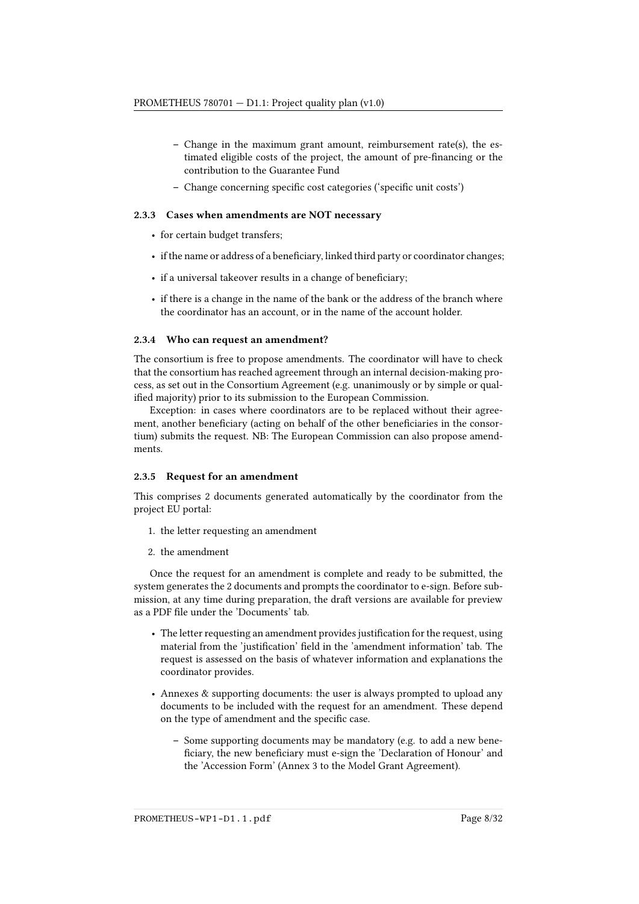- Change in the maximum grant amount, reimbursement rate(s), the estimated eligible costs of the project, the amount of pre-financing or the contribution to the Guarantee Fund
- Change concerning specific cost categories ('specific unit costs')

#### 2.3.3 Cases when amendments are NOT necessary

- for certain budget transfers;
- if the name or address of a beneficiary, linked third party or coordinator changes;
- $\bullet$  if a universal takeover results in a change of beneficiary;
- if there is a change in the name of the bank or the address of the branch where the coordinator has an account, or in the name of the account holder.

#### 2.3.4 Who can request an amendment?

The consortium is free to propose amendments. The coordinator will have to check that the consortium has reached agreement through an internal decision-making process, as set out in the Consortium Agreement (e.g. unanimously or by simple or qualified majority) prior to its submission to the European Commission.

Exception: in cases where coordinators are to be replaced without their agreement, another beneficiary (acting on behalf of the other beneficiaries in the consortium) submits the request. NB: The European Commission can also propose amendments.

#### 2.3.5 Request for an amendment

This comprises 2 documents generated automatically by the coordinator from the project EU portal:

- 1. the letter requesting an amendment
- 2. the amendment

Once the request for an amendment is complete and ready to be submitted, the system generates the 2 documents and prompts the coordinator to e-sign. Before submission, at any time during preparation, the draft versions are available for preview as a PDF file under the 'Documents' tab.

- The letter requesting an amendment provides justification for the request, using material from the 'justification' field in the 'amendment information' tab. The request is assessed on the basis of whatever information and explanations the coordinator provides.
- Annexes & supporting documents: the user is always prompted to upload any documents to be included with the request for an amendment. These depend on the type of amendment and the specific case.
	- Some supporting documents may be mandatory (e.g. to add a new bene ficiary, the new beneficiary must e-sign the 'Declaration of Honour' and the 'Accession Form' (Annex 3 to the Model Grant Agreement).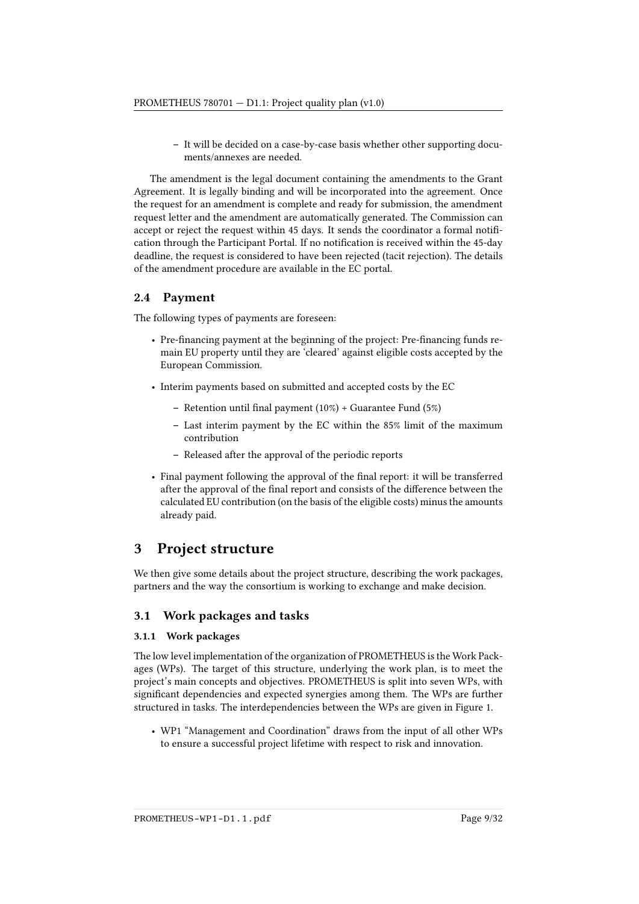– It will be decided on a case-by-case basis whether other supporting documents/annexes are needed.

The amendment is the legal document containing the amendments to the Grant Agreement. It is legally binding and will be incorporated into the agreement. Once the request for an amendment is complete and ready for submission, the amendment request letter and the amendment are automatically generated. The Commission can accept or reject the request within 45 days. It sends the coordinator a formal notification through the Participant Portal. If no notification is received within the 45-day deadline, the request is considered to have been rejected (tacit rejection). The details of the amendment procedure are available in the [EC portal.](https://ec.europa.eu/research/participants/portal/desktop/en/funding/guide.html)

## <span id="page-8-0"></span>2.4 Payment

The following types of payments are foreseen:

- Pre-financing payment at the beginning of the project: Pre-financing funds remain EU property until they are 'cleared' against eligible costs accepted by the European Commission.
- Interim payments based on submitted and accepted costs by the EC
	- Retention until final payment  $(10\%)$  + Guarantee Fund  $(5\%)$
	- Last interim payment by the EC within the 85% limit of the maximum contribution
	- Released after the approval of the periodic reports
- Final payment following the approval of the final report: it will be transferred after the approval of the final report and consists of the difference between the calculated EU contribution (on the basis of the eligible costs) minus the amounts already paid.

## <span id="page-8-1"></span>3 Project structure

We then give some details about the project structure, describing the work packages, partners and the way the consortium is working to exchange and make decision.

### <span id="page-8-2"></span>3.1 Work packages and tasks

#### 3.1.1 Work packages

The low level implementation of the organization of PROMETHEUS is the Work Packages (WPs). The target of this structure, underlying the work plan, is to meet the project's main concepts and objectives. PROMETHEUS is split into seven WPs, with significant dependencies and expected synergies among them. The WPs are further structured in tasks. The interdependencies between the WPs are given in Figure [1.](#page-9-0)

• WP1 "Management and Coordination" draws from the input of all other WPs to ensure a successful project lifetime with respect to risk and innovation.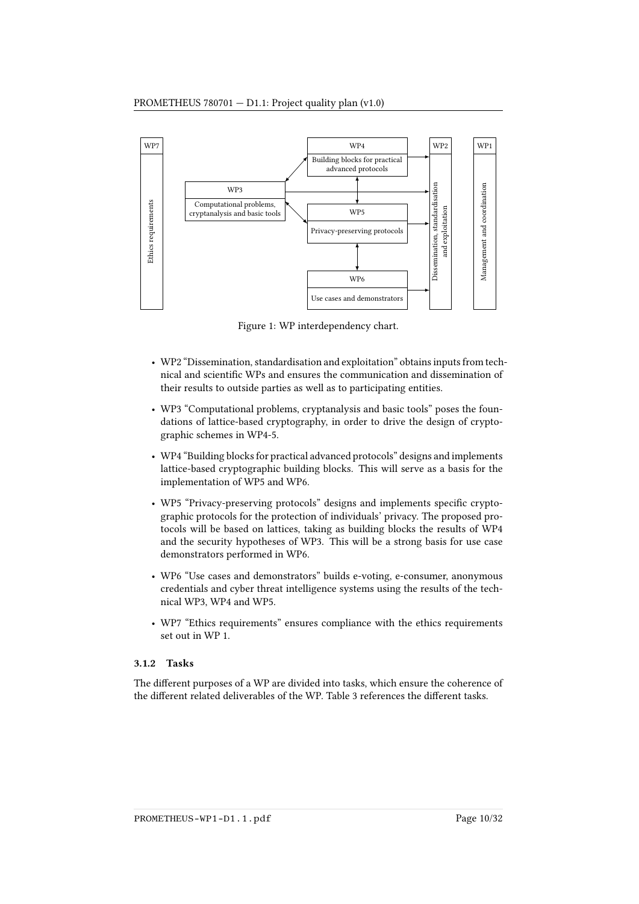<span id="page-9-0"></span>

Figure 1: WP interdependency chart.

- WP2 "Dissemination, standardisation and exploitation" obtains inputs from technical and scientific WPs and ensures the communication and dissemination of their results to outside parties as well as to participating entities.
- WP3 "Computational problems, cryptanalysis and basic tools" poses the foundations of lattice-based cryptography, in order to drive the design of cryptographic schemes in WP4-5.
- WP4 "Building blocks for practical advanced protocols" designs and implements lattice-based cryptographic building blocks. This will serve as a basis for the implementation of WP5 and WP6.
- WP5 "Privacy-preserving protocols" designs and implements specific cryptographic protocols for the protection of individuals' privacy. The proposed protocols will be based on lattices, taking as building blocks the results of WP4 and the security hypotheses of WP3. This will be a strong basis for use case demonstrators performed in WP6.
- WP6 "Use cases and demonstrators" builds e-voting, e-consumer, anonymous credentials and cyber threat intelligence systems using the results of the technical WP3, WP4 and WP5.
- WP7 "Ethics requirements" ensures compliance with the ethics requirements set out in WP 1.

#### 3.1.2 Tasks

The different purposes of a WP are divided into tasks, which ensure the coherence of the different related deliverables of the WP. Table [3](#page-10-0) references the different tasks.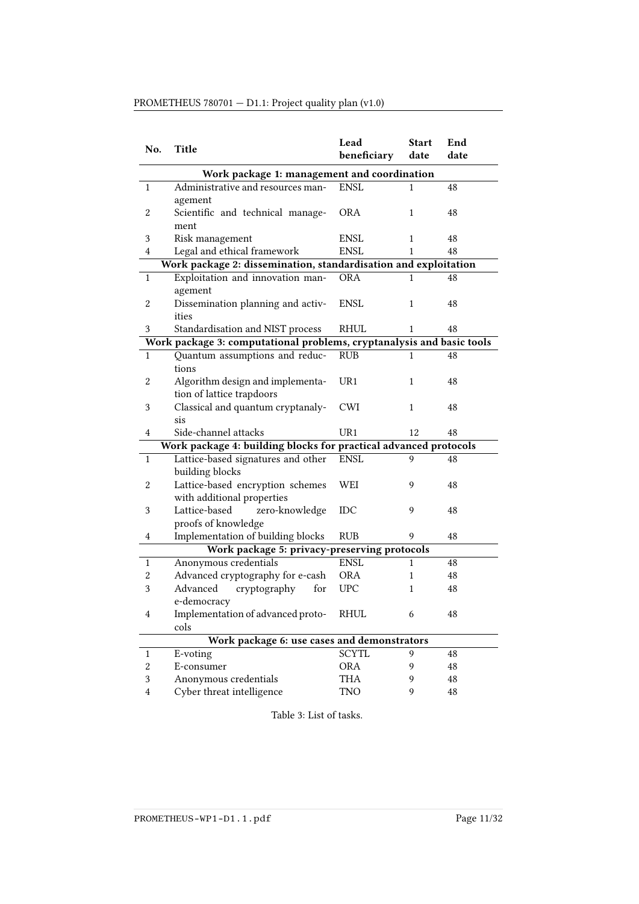<span id="page-10-0"></span>

| No.                     | <b>Title</b>                                                          | Lead<br>beneficiary | <b>Start</b><br>date | End<br>date |  |  |
|-------------------------|-----------------------------------------------------------------------|---------------------|----------------------|-------------|--|--|
|                         | Work package 1: management and coordination                           |                     |                      |             |  |  |
| 1                       | Administrative and resources man-                                     | <b>ENSL</b>         | 1                    | 48          |  |  |
|                         | agement                                                               |                     |                      |             |  |  |
| 2                       | Scientific and technical manage-                                      | <b>ORA</b>          | 1                    | 48          |  |  |
|                         | ment                                                                  |                     |                      |             |  |  |
| 3                       | Risk management                                                       | <b>ENSL</b>         | 1                    | 48          |  |  |
| 4                       | Legal and ethical framework                                           | ENSL                | 1                    | 48          |  |  |
|                         | Work package 2: dissemination, standardisation and exploitation       |                     |                      |             |  |  |
| $\mathbf{1}$            | Exploitation and innovation man-                                      | <b>ORA</b>          | 1                    | 48          |  |  |
|                         | agement                                                               |                     |                      |             |  |  |
| $\boldsymbol{2}$        | Dissemination planning and activ-                                     | <b>ENSL</b>         | 1                    | 48          |  |  |
|                         | ities                                                                 |                     |                      |             |  |  |
| 3                       | Standardisation and NIST process                                      | RHUL                | 1                    | 48          |  |  |
|                         | Work package 3: computational problems, cryptanalysis and basic tools |                     |                      |             |  |  |
| 1                       | Quantum assumptions and reduc-                                        | <b>RUB</b>          | 1                    | 48          |  |  |
|                         | tions                                                                 |                     |                      |             |  |  |
| 2                       | Algorithm design and implementa-                                      | UR1                 | 1                    | 48          |  |  |
|                         | tion of lattice trapdoors                                             |                     |                      |             |  |  |
| 3                       | Classical and quantum cryptanaly-                                     | <b>CWI</b>          | 1                    | 48          |  |  |
| 4                       | sis<br>Side-channel attacks                                           | UR1                 | 12                   | 48          |  |  |
|                         | Work package 4: building blocks for practical advanced protocols      |                     |                      |             |  |  |
| $\mathbf{1}$            | Lattice-based signatures and other                                    | <b>ENSL</b>         | 9                    | 48          |  |  |
|                         | building blocks                                                       |                     |                      |             |  |  |
| $\boldsymbol{2}$        | Lattice-based encryption schemes                                      | WEI                 | 9                    | 48          |  |  |
|                         | with additional properties                                            |                     |                      |             |  |  |
| 3                       | Lattice-based<br>zero-knowledge                                       | IDC                 | 9                    | 48          |  |  |
|                         | proofs of knowledge                                                   |                     |                      |             |  |  |
| 4                       | Implementation of building blocks                                     | <b>RUB</b>          | 9                    | 48          |  |  |
|                         | Work package 5: privacy-preserving protocols                          |                     |                      |             |  |  |
| $\mathbf{1}$            | Anonymous credentials                                                 | <b>ENSL</b>         | 1                    | 48          |  |  |
| 2                       | Advanced cryptography for e-cash                                      | <b>ORA</b>          | 1                    | 48          |  |  |
| 3                       | cryptography<br>Advanced<br>for                                       | <b>UPC</b>          | 1                    | 48          |  |  |
|                         | e-democracy                                                           |                     |                      |             |  |  |
| 4                       | Implementation of advanced proto-                                     | RHUL                | 6.                   | 48          |  |  |
|                         | cols                                                                  |                     |                      |             |  |  |
|                         | Work package 6: use cases and demonstrators                           |                     |                      |             |  |  |
| 1                       | E-voting                                                              | <b>SCYTL</b>        | 9                    | 48          |  |  |
| $\overline{c}$          | E-consumer                                                            | <b>ORA</b>          | 9                    | 48          |  |  |
| 3                       | Anonymous credentials                                                 | <b>THA</b>          | 9                    | 48          |  |  |
| $\overline{\mathbf{4}}$ | Cyber threat intelligence                                             | <b>TNO</b>          | 9                    | 48          |  |  |

## PROMETHEUS 780701 — D1.1: Project quality plan (v1.0)

Table 3: List of tasks.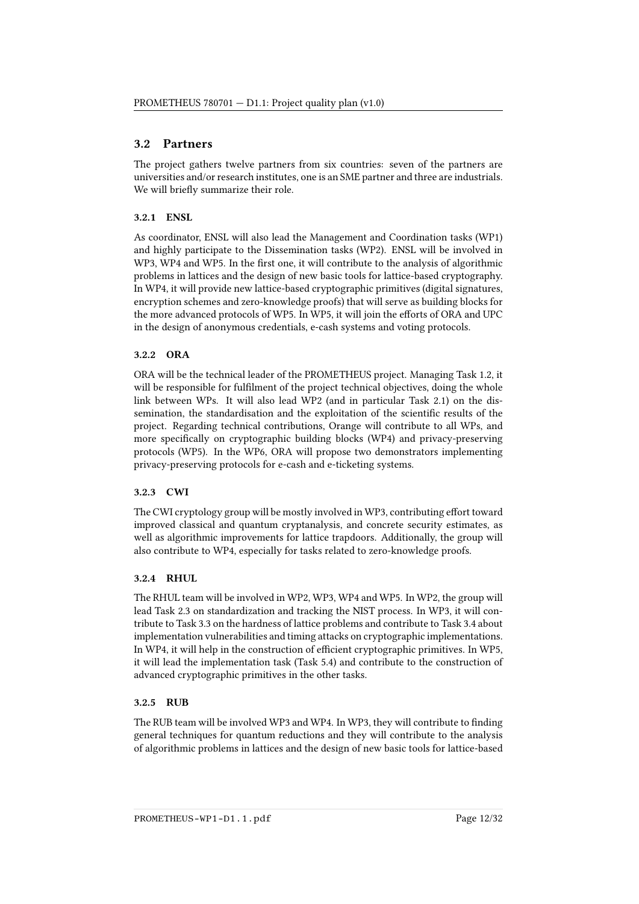## <span id="page-11-0"></span>3.2 Partners

The project gathers twelve partners from six countries: seven of the partners are universities and/or research institutes, one is an SME partner and three are industrials. We will briefly summarize their role.

#### 3.2.1 ENSL

As coordinator, ENSL will also lead the Management and Coordination tasks (WP1) and highly participate to the Dissemination tasks (WP2). ENSL will be involved in WP3, WP4 and WP5. In the first one, it will contribute to the analysis of algorithmic problems in lattices and the design of new basic tools for lattice-based cryptography. In WP4, it will provide new lattice-based cryptographic primitives (digital signatures, encryption schemes and zero-knowledge proofs) that will serve as building blocks for the more advanced protocols of WP5. In WP5, it will join the efforts of ORA and UPC in the design of anonymous credentials, e-cash systems and voting protocols.

#### 3.2.2 ORA

ORA will be the technical leader of the PROMETHEUS project. Managing Task 1.2, it will be responsible for fulfilment of the project technical objectives, doing the whole link between WPs. It will also lead WP2 (and in particular Task 2.1) on the dissemination, the standardisation and the exploitation of the scientific results of the project. Regarding technical contributions, Orange will contribute to all WPs, and more specifically on cryptographic building blocks (WP4) and privacy-preserving protocols (WP5). In the WP6, ORA will propose two demonstrators implementing privacy-preserving protocols for e-cash and e-ticketing systems.

#### 3.2.3 CWI

The CWI cryptology group will be mostly involved in WP3, contributing effort toward improved classical and quantum cryptanalysis, and concrete security estimates, as well as algorithmic improvements for lattice trapdoors. Additionally, the group will also contribute to WP4, especially for tasks related to zero-knowledge proofs.

#### 3.2.4 RHUL

The RHUL team will be involved in WP2, WP3, WP4 and WP5. In WP2, the group will lead Task 2.3 on standardization and tracking the NIST process. In WP3, it will contribute to Task 3.3 on the hardness of lattice problems and contribute to Task 3.4 about implementation vulnerabilities and timing attacks on cryptographic implementations. In WP4, it will help in the construction of efficient cryptographic primitives. In WP5, it will lead the implementation task (Task 5.4) and contribute to the construction of advanced cryptographic primitives in the other tasks.

#### 3.2.5 RUB

The RUB team will be involved WP3 and WP4. In WP3, they will contribute to finding general techniques for quantum reductions and they will contribute to the analysis of algorithmic problems in lattices and the design of new basic tools for lattice-based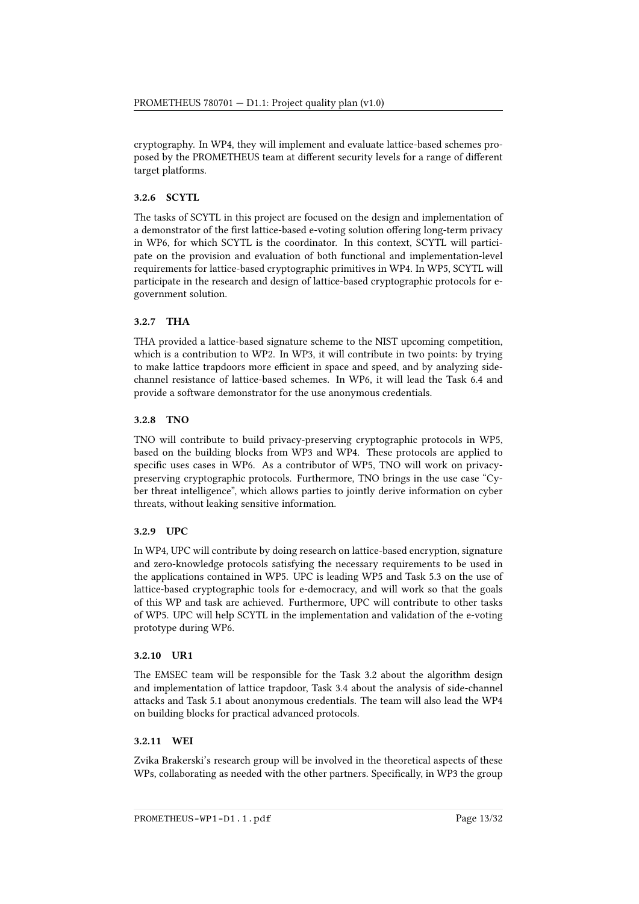cryptography. In WP4, they will implement and evaluate lattice-based schemes proposed by the PROMETHEUS team at different security levels for a range of different target platforms.

### 3.2.6 SCYTL

The tasks of SCYTL in this project are focused on the design and implementation of a demonstrator of the first lattice-based e-voting solution offering long-term privacy in WP6, for which SCYTL is the coordinator. In this context, SCYTL will participate on the provision and evaluation of both functional and implementation-level requirements for lattice-based cryptographic primitives in WP4. In WP5, SCYTL will participate in the research and design of lattice-based cryptographic protocols for egovernment solution.

#### 3.2.7 THA

THA provided a lattice-based signature scheme to the NIST upcoming competition, which is a contribution to WP2. In WP3, it will contribute in two points: by trying to make lattice trapdoors more efficient in space and speed, and by analyzing sidechannel resistance of lattice-based schemes. In WP6, it will lead the Task 6.4 and provide a software demonstrator for the use anonymous credentials.

#### 3.2.8 TNO

TNO will contribute to build privacy-preserving cryptographic protocols in WP5, based on the building blocks from WP3 and WP4. These protocols are applied to specific uses cases in WP6. As a contributor of WP5, TNO will work on privacypreserving cryptographic protocols. Furthermore, TNO brings in the use case "Cyber threat intelligence", which allows parties to jointly derive information on cyber threats, without leaking sensitive information.

#### 3.2.9 UPC

In WP4, UPC will contribute by doing research on lattice-based encryption, signature and zero-knowledge protocols satisfying the necessary requirements to be used in the applications contained in WP5. UPC is leading WP5 and Task 5.3 on the use of lattice-based cryptographic tools for e-democracy, and will work so that the goals of this WP and task are achieved. Furthermore, UPC will contribute to other tasks of WP5. UPC will help SCYTL in the implementation and validation of the e-voting prototype during WP6.

#### 3.2.10 UR1

The EMSEC team will be responsible for the Task 3.2 about the algorithm design and implementation of lattice trapdoor, Task 3.4 about the analysis of side-channel attacks and Task 5.1 about anonymous credentials. The team will also lead the WP4 on building blocks for practical advanced protocols.

### 3.2.11 WEI

Zvika Brakerski's research group will be involved in the theoretical aspects of these WPs, collaborating as needed with the other partners. Specifically, in WP3 the group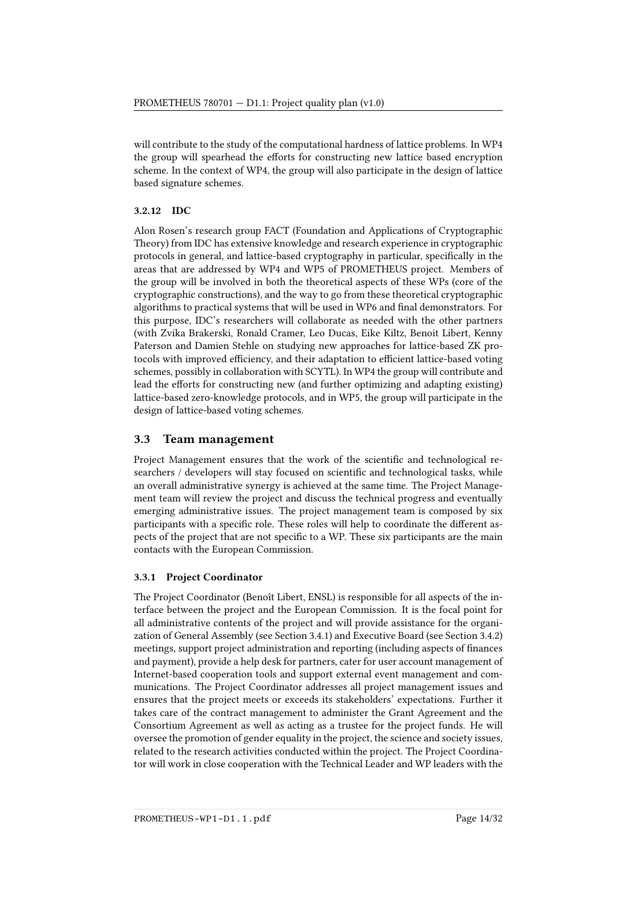will contribute to the study of the computational hardness of lattice problems. In WP4 the group will spearhead the efforts for constructing new lattice based encryption scheme. In the context of WP4, the group will also participate in the design of lattice based signature schemes.

#### 3.2.12 IDC

Alon Rosen's research group FACT (Foundation and Applications of Cryptographic Theory) from IDC has extensive knowledge and research experience in cryptographic protocols in general, and lattice-based cryptography in particular, specifically in the areas that are addressed by WP4 and WP5 of PROMETHEUS project. Members of the group will be involved in both the theoretical aspects of these WPs (core of the cryptographic constructions), and the way to go from these theoretical cryptographic algorithms to practical systems that will be used in WP6 and final demonstrators. For this purpose, IDC's researchers will collaborate as needed with the other partners (with Zvika Brakerski, Ronald Cramer, Leo Ducas, Eike Kiltz, Benoit Libert, Kenny Paterson and Damien Stehle on studying new approaches for lattice-based ZK protocols with improved efficiency, and their adaptation to efficient lattice-based voting schemes, possibly in collaboration with SCYTL). In WP4 the group will contribute and lead the efforts for constructing new (and further optimizing and adapting existing) lattice-based zero-knowledge protocols, and in WP5, the group will participate in the design of lattice-based voting schemes.

### <span id="page-13-0"></span>3.3 Team management

Project Management ensures that the work of the scientific and technological researchers / developers will stay focused on scientific and technological tasks, while an overall administrative synergy is achieved at the same time. The Project Management team will review the project and discuss the technical progress and eventually emerging administrative issues. The project management team is composed by six participants with a specific role. These roles will help to coordinate the different aspects of the project that are not specic to a WP. These six participants are the main contacts with the European Commission.

### 3.3.1 Project Coordinator

The Project Coordinator (Benoît Libert, ENSL) is responsible for all aspects of the interface between the project and the European Commission. It is the focal point for all administrative contents of the project and will provide assistance for the organization of General Assembly (see Section [3.4.1\)](#page-16-1) and Executive Board (see Section [3.4.2\)](#page-16-2) meetings, support project administration and reporting (including aspects of finances and payment), provide a help desk for partners, cater for user account management of Internet-based cooperation tools and support external event management and communications. The Project Coordinator addresses all project management issues and ensures that the project meets or exceeds its stakeholders' expectations. Further it takes care of the contract management to administer the Grant Agreement and the Consortium Agreement as well as acting as a trustee for the project funds. He will oversee the promotion of gender equality in the project, the science and society issues, related to the research activities conducted within the project. The Project Coordinator will work in close cooperation with the Technical Leader and WP leaders with the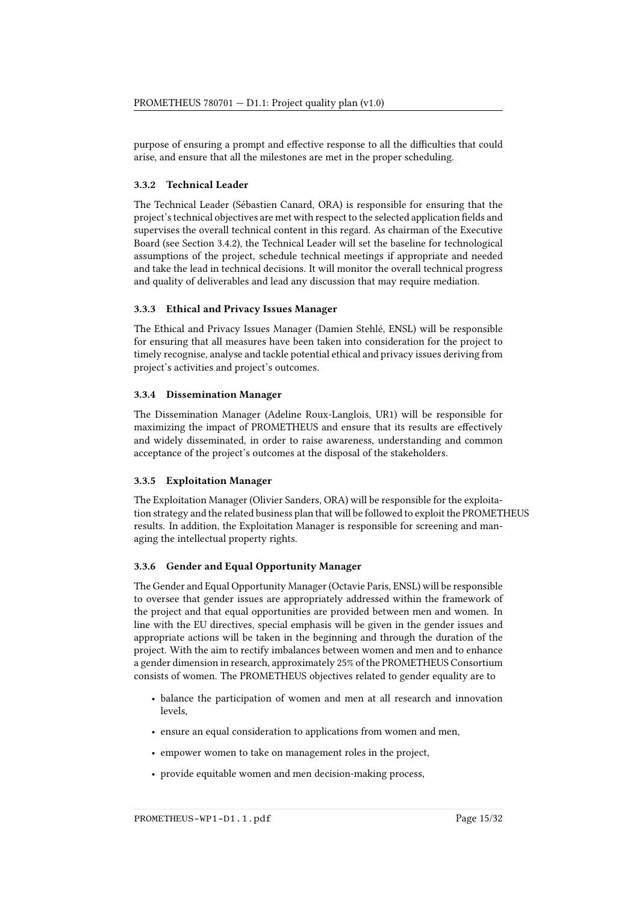purpose of ensuring a prompt and effective response to all the difficulties that could arise, and ensure that all the milestones are met in the proper scheduling.

#### 3.3.2 Technical Leader

The Technical Leader (Sébastien Canard, ORA) is responsible for ensuring that the project's technical objectives are met with respect to the selected application fields and supervises the overall technical content in this regard. As chairman of the Executive Board (see Section [3.4.2\)](#page-16-2), the Technical Leader will set the baseline for technological assumptions of the project, schedule technical meetings if appropriate and needed and take the lead in technical decisions. It will monitor the overall technical progress and quality of deliverables and lead any discussion that may require mediation.

#### 3.3.3 Ethical and Privacy Issues Manager

The Ethical and Privacy Issues Manager (Damien Stehlé, ENSL) will be responsible for ensuring that all measures have been taken into consideration for the project to timely recognise, analyse and tackle potential ethical and privacy issues deriving from project's activities and project's outcomes.

#### 3.3.4 Dissemination Manager

The Dissemination Manager (Adeline Roux-Langlois, UR1) will be responsible for maximizing the impact of PROMETHEUS and ensure that its results are effectively and widely disseminated, in order to raise awareness, understanding and common acceptance of the project's outcomes at the disposal of the stakeholders.

#### 3.3.5 Exploitation Manager

The Exploitation Manager (Olivier Sanders, ORA) will be responsible for the exploitation strategy and the related business plan that will be followed to exploit the PROMETHEUS results. In addition, the Exploitation Manager is responsible for screening and managing the intellectual property rights.

#### 3.3.6 Gender and Equal Opportunity Manager

The Gender and Equal Opportunity Manager (Octavie Paris, ENSL) will be responsible to oversee that gender issues are appropriately addressed within the framework of the project and that equal opportunities are provided between men and women. In line with the EU directives, special emphasis will be given in the gender issues and appropriate actions will be taken in the beginning and through the duration of the project. With the aim to rectify imbalances between women and men and to enhance a gender dimension in research, approximately 25% of the PROMETHEUS Consortium consists of women. The PROMETHEUS objectives related to gender equality are to

- balance the participation of women and men at all research and innovation levels,
- ensure an equal consideration to applications from women and men,
- empower women to take on management roles in the project,
- provide equitable women and men decision-making process,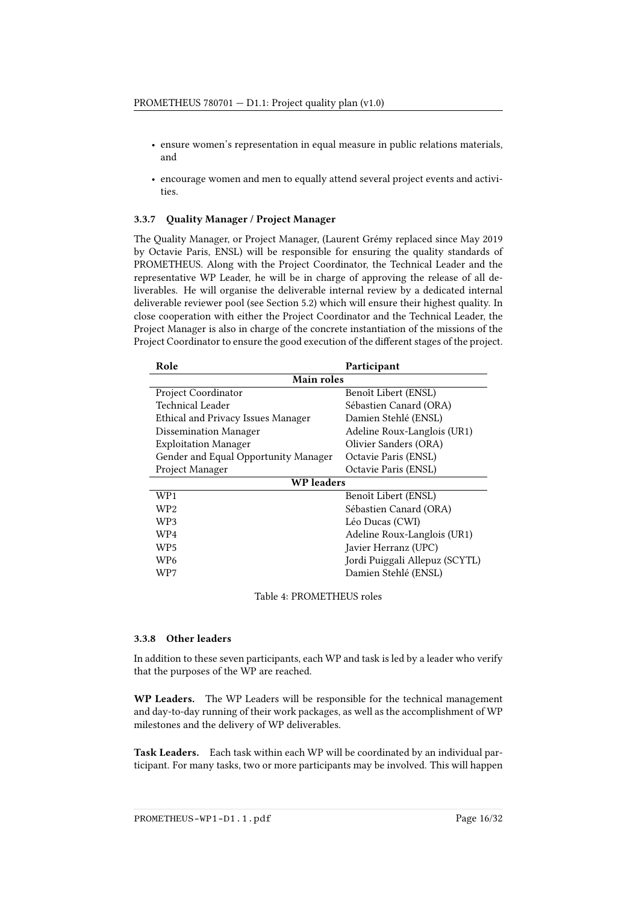- ensure women's representation in equal measure in public relations materials, and
- encourage women and men to equally attend several project events and activities.

#### 3.3.7 Quality Manager / Project Manager

The Quality Manager, or Project Manager, (Laurent Grémy replaced since May 2019 by Octavie Paris, ENSL) will be responsible for ensuring the quality standards of PROMETHEUS. Along with the Project Coordinator, the Technical Leader and the representative WP Leader, he will be in charge of approving the release of all deliverables. He will organise the deliverable internal review by a dedicated internal deliverable reviewer pool (see Section [5.2\)](#page-28-0) which will ensure their highest quality. In close cooperation with either the Project Coordinator and the Technical Leader, the Project Manager is also in charge of the concrete instantiation of the missions of the Project Coordinator to ensure the good execution of the different stages of the project.

| Role                                 | Participant                    |  |  |  |  |
|--------------------------------------|--------------------------------|--|--|--|--|
|                                      | <b>Main roles</b>              |  |  |  |  |
| Project Coordinator                  | Benoît Libert (ENSL)           |  |  |  |  |
| Technical Leader                     | Sébastien Canard (ORA)         |  |  |  |  |
| Ethical and Privacy Issues Manager   | Damien Stehlé (ENSL)           |  |  |  |  |
| <b>Dissemination Manager</b>         | Adeline Roux-Langlois (UR1)    |  |  |  |  |
| <b>Exploitation Manager</b>          | Olivier Sanders (ORA)          |  |  |  |  |
| Gender and Equal Opportunity Manager | Octavie Paris (ENSL)           |  |  |  |  |
| Project Manager                      | Octavie Paris (ENSL)           |  |  |  |  |
| <b>WP</b> leaders                    |                                |  |  |  |  |
| WP1                                  | Benoît Libert (ENSL)           |  |  |  |  |
| WP2                                  | Sébastien Canard (ORA)         |  |  |  |  |
| WP3                                  | Léo Ducas (CWI)                |  |  |  |  |
| WP4                                  | Adeline Roux-Langlois (UR1)    |  |  |  |  |
| WP5                                  | Javier Herranz (UPC)           |  |  |  |  |
| WP6                                  | Jordi Puiggali Allepuz (SCYTL) |  |  |  |  |
| WP7                                  | Damien Stehlé (ENSL)           |  |  |  |  |

Table 4: PROMETHEUS roles

#### 3.3.8 Other leaders

In addition to these seven participants, each WP and task is led by a leader who verify that the purposes of the WP are reached.

WP Leaders. The WP Leaders will be responsible for the technical management and day-to-day running of their work packages, as well as the accomplishment of WP milestones and the delivery of WP deliverables.

Task Leaders. Each task within each WP will be coordinated by an individual participant. For many tasks, two or more participants may be involved. This will happen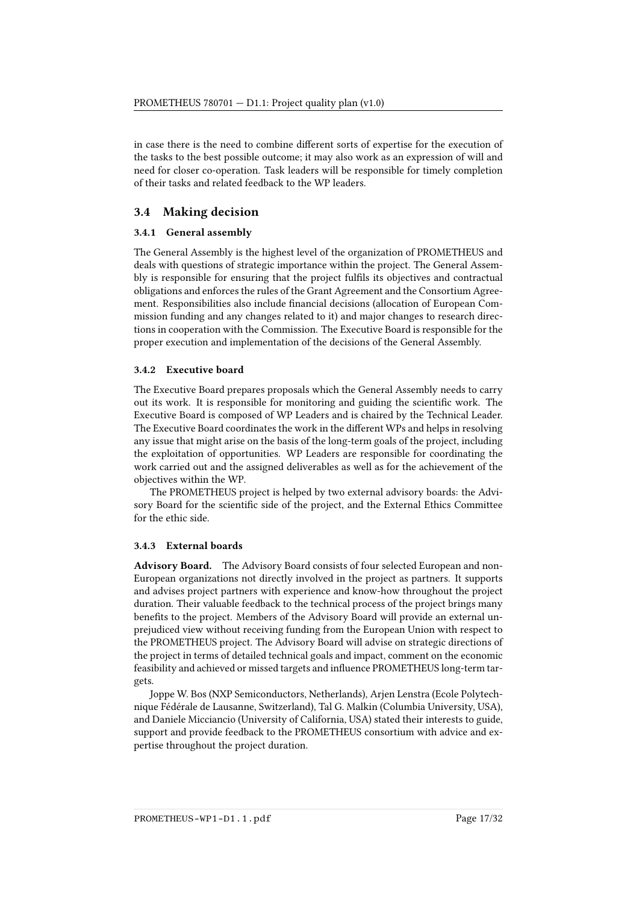in case there is the need to combine different sorts of expertise for the execution of the tasks to the best possible outcome; it may also work as an expression of will and need for closer co-operation. Task leaders will be responsible for timely completion of their tasks and related feedback to the WP leaders.

## <span id="page-16-0"></span>3.4 Making decision

#### <span id="page-16-1"></span>3.4.1 General assembly

The General Assembly is the highest level of the organization of PROMETHEUS and deals with questions of strategic importance within the project. The General Assembly is responsible for ensuring that the project fulfils its objectives and contractual obligations and enforces the rules of the Grant Agreement and the Consortium Agreement. Responsibilities also include financial decisions (allocation of European Commission funding and any changes related to it) and major changes to research directions in cooperation with the Commission. The Executive Board is responsible for the proper execution and implementation of the decisions of the General Assembly.

#### <span id="page-16-2"></span>3.4.2 Executive board

The Executive Board prepares proposals which the General Assembly needs to carry out its work. It is responsible for monitoring and guiding the scientific work. The Executive Board is composed of WP Leaders and is chaired by the Technical Leader. The Executive Board coordinates the work in the different WPs and helps in resolving any issue that might arise on the basis of the long-term goals of the project, including the exploitation of opportunities. WP Leaders are responsible for coordinating the work carried out and the assigned deliverables as well as for the achievement of the objectives within the WP.

The PROMETHEUS project is helped by two external advisory boards: the Advisory Board for the scientific side of the project, and the External Ethics Committee for the ethic side.

#### 3.4.3 External boards

Advisory Board. The Advisory Board consists of four selected European and non-European organizations not directly involved in the project as partners. It supports and advises project partners with experience and know-how throughout the project duration. Their valuable feedback to the technical process of the project brings many benefits to the project. Members of the Advisory Board will provide an external unprejudiced view without receiving funding from the European Union with respect to the PROMETHEUS project. The Advisory Board will advise on strategic directions of the project in terms of detailed technical goals and impact, comment on the economic feasibility and achieved or missed targets and influence PROMETHEUS long-term targets.

Joppe W. Bos (NXP Semiconductors, Netherlands), Arjen Lenstra (Ecole Polytechnique Fédérale de Lausanne, Switzerland), Tal G. Malkin (Columbia University, USA), and Daniele Micciancio (University of California, USA) stated their interests to guide, support and provide feedback to the PROMETHEUS consortium with advice and expertise throughout the project duration.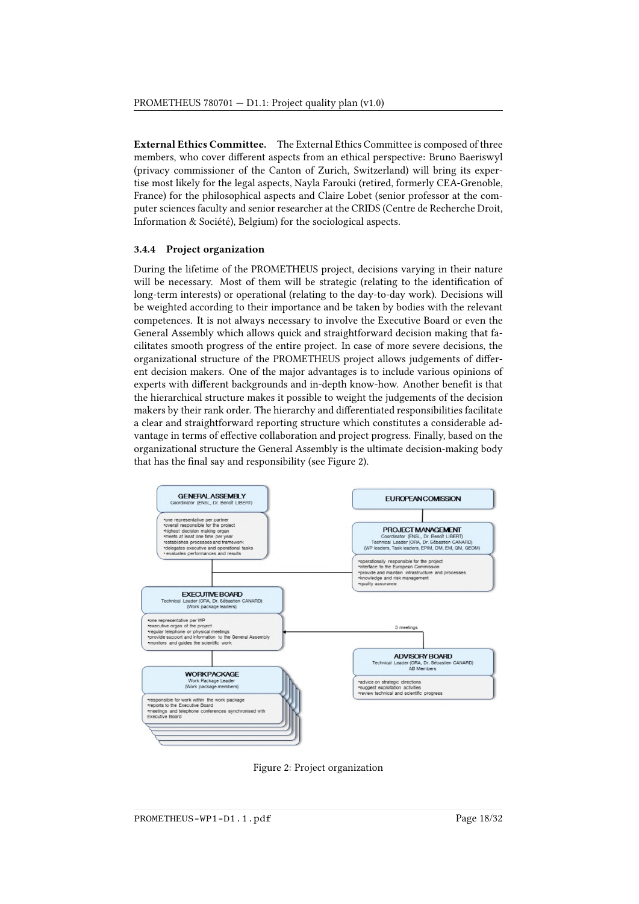External Ethics Committee. The External Ethics Committee is composed of three members, who cover different aspects from an ethical perspective: Bruno Baeriswyl (privacy commissioner of the Canton of Zurich, Switzerland) will bring its expertise most likely for the legal aspects, Nayla Farouki (retired, formerly CEA-Grenoble, France) for the philosophical aspects and Claire Lobet (senior professor at the computer sciences faculty and senior researcher at the CRIDS (Centre de Recherche Droit, Information & Société), Belgium) for the sociological aspects.

#### 3.4.4 Project organization

During the lifetime of the PROMETHEUS project, decisions varying in their nature will be necessary. Most of them will be strategic (relating to the identification of long-term interests) or operational (relating to the day-to-day work). Decisions will be weighted according to their importance and be taken by bodies with the relevant competences. It is not always necessary to involve the Executive Board or even the General Assembly which allows quick and straightforward decision making that facilitates smooth progress of the entire project. In case of more severe decisions, the organizational structure of the PROMETHEUS project allows judgements of different decision makers. One of the major advantages is to include various opinions of experts with different backgrounds and in-depth know-how. Another benefit is that the hierarchical structure makes it possible to weight the judgements of the decision makers by their rank order. The hierarchy and differentiated responsibilities facilitate a clear and straightforward reporting structure which constitutes a considerable advantage in terms of effective collaboration and project progress. Finally, based on the organizational structure the General Assembly is the ultimate decision-making body that has the final say and responsibility (see Figure [2\)](#page-17-0).

<span id="page-17-0"></span>

Figure 2: Project organization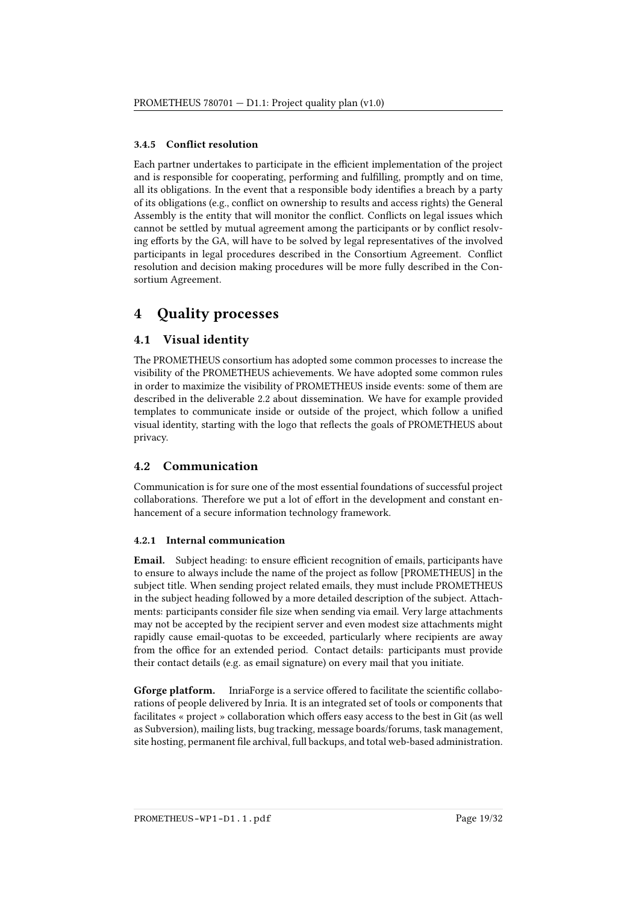#### 3.4.5 Conflict resolution

Each partner undertakes to participate in the efficient implementation of the project and is responsible for cooperating, performing and fullling, promptly and on time, all its obligations. In the event that a responsible body identifies a breach by a party of its obligations (e.g., conflict on ownership to results and access rights) the General Assembly is the entity that will monitor the conflict. Conflicts on legal issues which cannot be settled by mutual agreement among the participants or by conflict resolving efforts by the GA, will have to be solved by legal representatives of the involved participants in legal procedures described in the Consortium Agreement. Conflict resolution and decision making procedures will be more fully described in the Consortium Agreement.

## <span id="page-18-0"></span>4 Quality processes

## <span id="page-18-1"></span>4.1 Visual identity

The PROMETHEUS consortium has adopted some common processes to increase the visibility of the PROMETHEUS achievements. We have adopted some common rules in order to maximize the visibility of PROMETHEUS inside events: some of them are described in the deliverable 2.2 about dissemination. We have for example provided templates to communicate inside or outside of the project, which follow a unified visual identity, starting with the logo that reflects the goals of PROMETHEUS about privacy.

### <span id="page-18-2"></span>4.2 Communication

Communication is for sure one of the most essential foundations of successful project collaborations. Therefore we put a lot of effort in the development and constant enhancement of a secure information technology framework.

#### 4.2.1 Internal communication

**Email.** Subject heading: to ensure efficient recognition of emails, participants have to ensure to always include the name of the project as follow [PROMETHEUS] in the subject title. When sending project related emails, they must include PROMETHEUS in the subject heading followed by a more detailed description of the subject. Attachments: participants consider file size when sending via email. Very large attachments may not be accepted by the recipient server and even modest size attachments might rapidly cause email-quotas to be exceeded, particularly where recipients are away from the office for an extended period. Contact details: participants must provide their contact details (e.g. as email signature) on every mail that you initiate.

Gforge platform. InriaForge is a service offered to facilitate the scientific collaborations of people delivered by Inria. It is an integrated set of tools or components that facilitates « project » collaboration which offers easy access to the best in Git (as well as Subversion), mailing lists, bug tracking, message boards/forums, task management, site hosting, permanent file archival, full backups, and total web-based administration.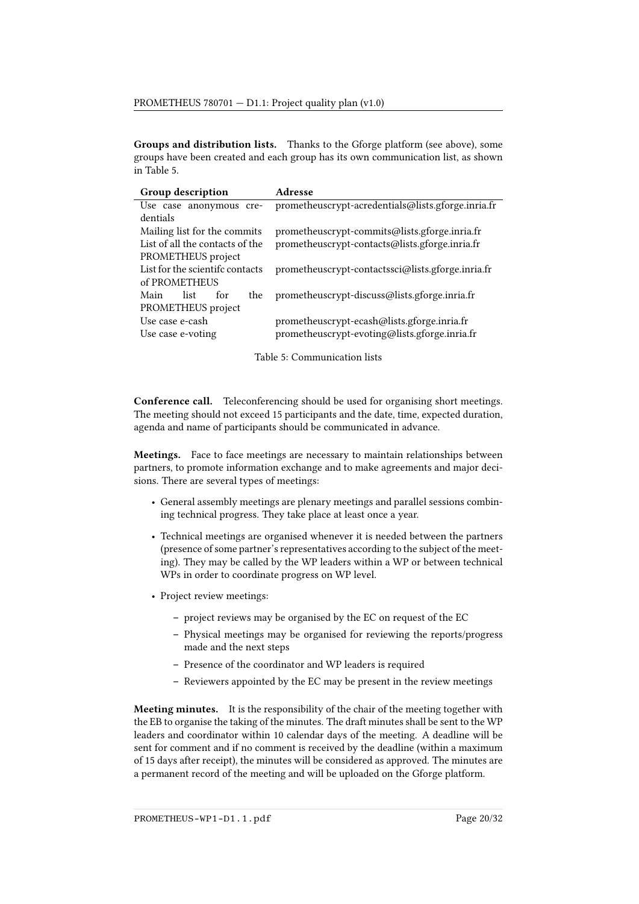Groups and distribution lists. Thanks to the Gforge platform (see above), some groups have been created and each group has its own communication list, as shown in Table [5.](#page-19-0)

<span id="page-19-0"></span>

| Group description               | Adresse                                            |
|---------------------------------|----------------------------------------------------|
| Use case anonymous cre-         | prometheuscrypt-acredentials@lists.gforge.inria.fr |
| dentials                        |                                                    |
| Mailing list for the commits    | prometheuscrypt-commits@lists.gforge.inria.fr      |
| List of all the contacts of the | prometheuscrypt-contacts@lists.gforge.inria.fr     |
| PROMETHEUS project              |                                                    |
| List for the scientifc contacts | prometheuscrypt-contactssci@lists.gforge.inria.fr  |
| of PROMETHEUS                   |                                                    |
| Main<br>list<br>the<br>for      | prometheuscrypt-discuss@lists.gforge.inria.fr      |
| PROMETHEUS project              |                                                    |
| Use case e-cash                 | prometheuscrypt-ecash@lists.gforge.inria.fr        |
| Use case e-voting               | prometheuscrypt-evoting@lists.gforge.inria.fr      |
|                                 |                                                    |

Table 5: Communication lists

Conference call. Teleconferencing should be used for organising short meetings. The meeting should not exceed 15 participants and the date, time, expected duration, agenda and name of participants should be communicated in advance.

Meetings. Face to face meetings are necessary to maintain relationships between partners, to promote information exchange and to make agreements and major decisions. There are several types of meetings:

- General assembly meetings are plenary meetings and parallel sessions combining technical progress. They take place at least once a year.
- Technical meetings are organised whenever it is needed between the partners (presence of some partner's representatives according to the subject of the meeting). They may be called by the WP leaders within a WP or between technical WPs in order to coordinate progress on WP level.
- Project review meetings:
	- project reviews may be organised by the EC on request of the EC
	- Physical meetings may be organised for reviewing the reports/progress made and the next steps
	- Presence of the coordinator and WP leaders is required
	- Reviewers appointed by the EC may be present in the review meetings

Meeting minutes. It is the responsibility of the chair of the meeting together with the EB to organise the taking of the minutes. The draft minutes shall be sent to the WP leaders and coordinator within 10 calendar days of the meeting. A deadline will be sent for comment and if no comment is received by the deadline (within a maximum of 15 days after receipt), the minutes will be considered as approved. The minutes are a permanent record of the meeting and will be uploaded on the Gforge platform.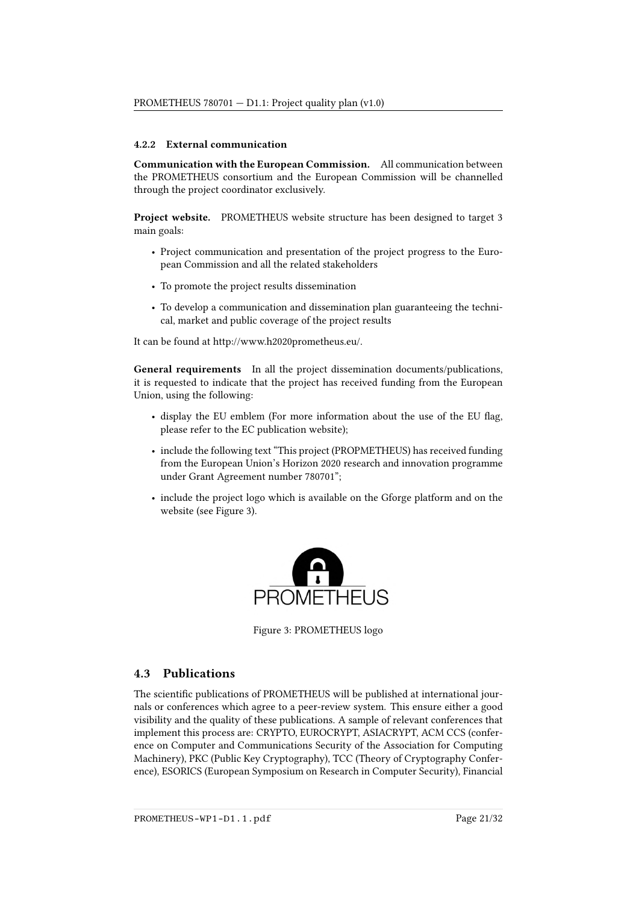#### 4.2.2 External communication

Communication with the European Commission. All communication between the PROMETHEUS consortium and the European Commission will be channelled through the project coordinator exclusively.

Project website. PROMETHEUS website structure has been designed to target 3 main goals:

- Project communication and presentation of the project progress to the European Commission and all the related stakeholders
- To promote the project results dissemination
- To develop a communication and dissemination plan guaranteeing the technical, market and public coverage of the project results

It can be found at [http://www.h2020prometheus.eu/.](http://www.h2020prometheus.eu/)

General requirements In all the project dissemination documents/publications, it is requested to indicate that the project has received funding from the European Union, using the following:

- display the EU emblem (For more information about the use of the EU flag, please refer to the [EC publication website\)](http://publications.europa.eu/code/en/en-5000100.htm);
- include the following text "This project (PROPMETHEUS) has received funding from the European Union's Horizon 2020 research and innovation programme under Grant Agreement number 780701";
- <span id="page-20-1"></span>• include the project logo which is available on the Gforge platform and on the website (see Figure [3\)](#page-20-1).



Figure 3: PROMETHEUS logo

### <span id="page-20-0"></span>4.3 Publications

The scientific publications of PROMETHEUS will be published at international journals or conferences which agree to a peer-review system. This ensure either a good visibility and the quality of these publications. A sample of relevant conferences that implement this process are: CRYPTO, EUROCRYPT, ASIACRYPT, ACM CCS (conference on Computer and Communications Security of the Association for Computing Machinery), PKC (Public Key Cryptography), TCC (Theory of Cryptography Conference), ESORICS (European Symposium on Research in Computer Security), Financial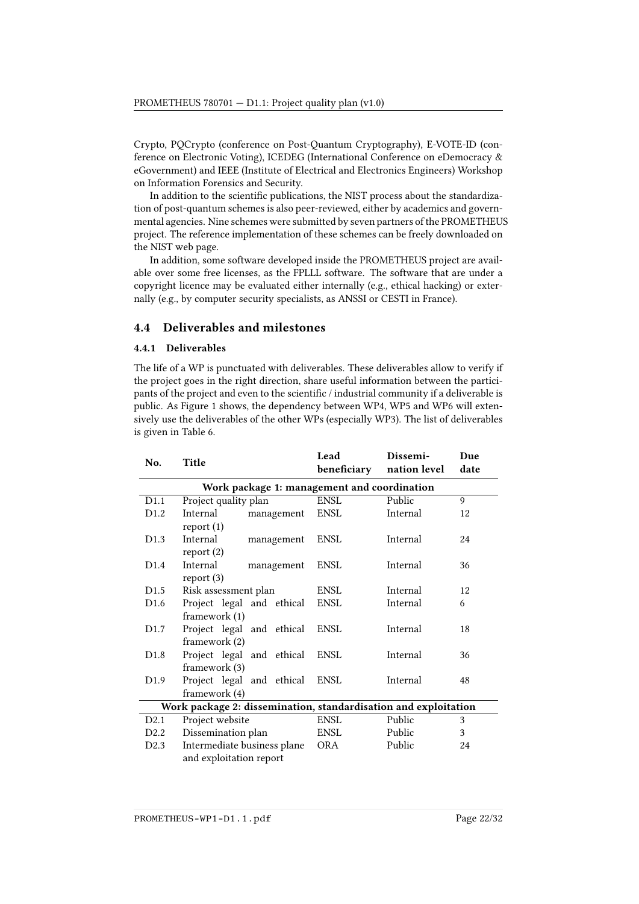Crypto, PQCrypto (conference on Post-Quantum Cryptography), E-VOTE-ID (conference on Electronic Voting), ICEDEG (International Conference on eDemocracy & eGovernment) and IEEE (Institute of Electrical and Electronics Engineers) Workshop on Information Forensics and Security.

In addition to the scientific publications, the NIST process about the standardization of post-quantum schemes is also peer-reviewed, either by academics and governmental agencies. Nine schemes were submitted by seven partners of the PROMETHEUS project. The reference implementation of these schemes can be freely downloaded on the NIST web page.

In addition, some software developed inside the PROMETHEUS project are available over some free licenses, as the FPLLL software. The software that are under a copyright licence may be evaluated either internally (e.g., ethical hacking) or externally (e.g., by computer security specialists, as ANSSI or CESTI in France).

## <span id="page-21-0"></span>4.4 Deliverables and milestones

#### 4.4.1 Deliverables

The life of a WP is punctuated with deliverables. These deliverables allow to verify if the project goes in the right direction, share useful information between the participants of the project and even to the scientific / industrial community if a deliverable is public. As Figure [1](#page-9-0) shows, the dependency between WP4, WP5 and WP6 will extensively use the deliverables of the other WPs (especially WP3). The list of deliverables is given in Table [6.](#page-21-1)

<span id="page-21-1"></span>

| No.                                                             | Title                                       | Lead<br>beneficiary | Dissemi-<br>nation level | Due<br>date |
|-----------------------------------------------------------------|---------------------------------------------|---------------------|--------------------------|-------------|
|                                                                 |                                             |                     |                          |             |
|                                                                 | Work package 1: management and coordination |                     |                          |             |
| D1.1                                                            | Project quality plan                        | ENSL                | Public                   | 9           |
| D <sub>1.2</sub>                                                | Internal<br>management                      | <b>ENSL</b>         | Internal                 | 12          |
|                                                                 | report(1)                                   |                     |                          |             |
| D1.3                                                            | Internal<br>management                      | <b>ENSL</b>         | Internal                 | 24          |
|                                                                 | report(2)                                   |                     |                          |             |
| D1.4                                                            | Internal<br>management                      | <b>ENSL</b>         | Internal                 | 36          |
|                                                                 | report(3)                                   |                     |                          |             |
| D1.5                                                            | Risk assessment plan                        | ENSL                | Internal                 | 12          |
| D <sub>1.6</sub>                                                | Project legal and ethical                   | <b>ENSL</b>         | Internal                 | 6           |
|                                                                 | framework (1)                               |                     |                          |             |
| D <sub>1.7</sub>                                                | Project legal and ethical                   | <b>ENSL</b>         | Internal                 | 18          |
|                                                                 | framework (2)                               |                     |                          |             |
| D <sub>1.8</sub>                                                | Project legal and ethical                   | ENSL                | Internal                 | 36          |
|                                                                 | framework (3)                               |                     |                          |             |
| D <sub>1.9</sub>                                                | Project legal and ethical                   | ENSL                | Internal                 | 48          |
|                                                                 | framework (4)                               |                     |                          |             |
| Work package 2: dissemination, standardisation and exploitation |                                             |                     |                          |             |
| D2.1                                                            | Project website                             | <b>ENSL</b>         | Public                   | 3           |
| D2.2                                                            | Dissemination plan                          | ENSL                | Public                   | 3           |
| D <sub>2.3</sub>                                                | Intermediate business plane                 | <b>ORA</b>          | Public                   | 24          |
|                                                                 | and exploitation report                     |                     |                          |             |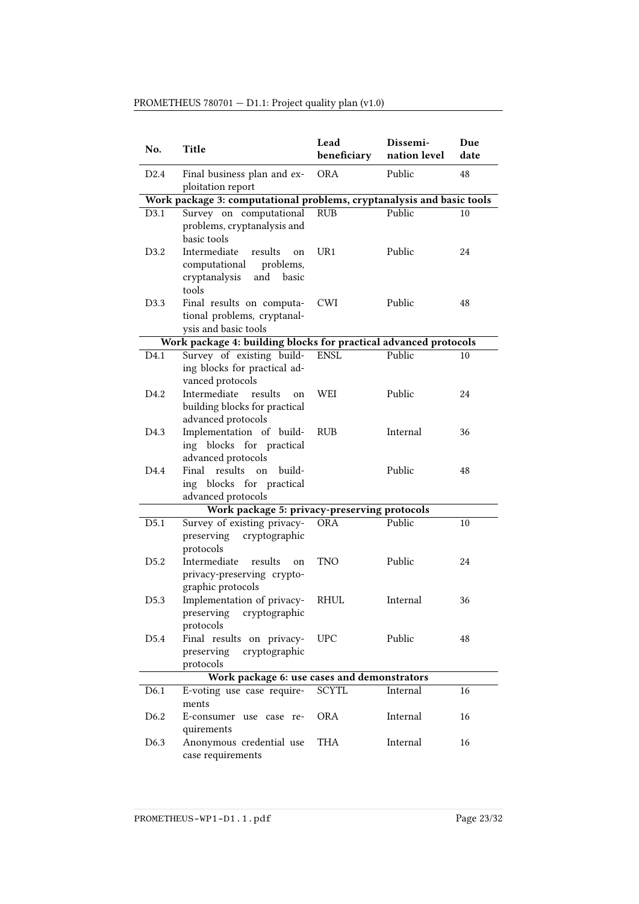| No.              | Title                                                                                                 | Lead<br>beneficiary | Dissemi-<br>nation level | Due<br>date |
|------------------|-------------------------------------------------------------------------------------------------------|---------------------|--------------------------|-------------|
| D <sub>2.4</sub> | Final business plan and ex-<br>ploitation report                                                      | <b>ORA</b>          | Public                   | 48          |
|                  | Work package 3: computational problems, cryptanalysis and basic tools                                 |                     |                          |             |
| D3.1             | Survey on computational<br>problems, cryptanalysis and<br>basic tools                                 | <b>RUB</b>          | Public                   | 10          |
| D <sub>3.2</sub> | Intermediate<br>results<br>on<br>computational<br>problems,<br>cryptanalysis<br>and<br>basic<br>tools | UR1                 | Public                   | 24          |
| D3.3             | Final results on computa-<br>tional problems, cryptanal-<br>ysis and basic tools                      | <b>CWI</b>          | Public                   | 48          |
|                  | Work package 4: building blocks for practical advanced protocols                                      |                     |                          |             |
| D4.1             | Survey of existing build-                                                                             | <b>ENSL</b>         | Public                   | 10          |
|                  | ing blocks for practical ad-<br>vanced protocols                                                      |                     |                          |             |
| D4.2             | Intermediate<br>results<br>on<br>building blocks for practical<br>advanced protocols                  | <b>WEI</b>          | Public                   | 24          |
| D <sub>4.3</sub> | Implementation of build-<br>ing blocks for practical<br>advanced protocols                            | <b>RUB</b>          | Internal                 | 36          |
| D <sub>4.4</sub> | results<br>build-<br>Final<br>on<br>ing blocks for practical<br>advanced protocols                    |                     | Public                   | 48          |
|                  | Work package 5: privacy-preserving protocols                                                          |                     |                          |             |
| D5.1             | Survey of existing privacy-<br>preserving<br>cryptographic<br>protocols                               | <b>ORA</b>          | Public                   | 10          |
| D <sub>5.2</sub> | Intermediate<br>results<br>on<br>privacy-preserving crypto-<br>graphic protocols                      | <b>TNO</b>          | Public                   | 24          |
| D <sub>5.3</sub> | Implementation of privacy-<br>preserving cryptographic<br>protocols                                   | <b>RHUL</b>         | Internal                 | 36          |
| D5.4             | Final results on privacy-<br>preserving<br>cryptographic<br>protocols                                 | <b>UPC</b>          | Public                   | 48          |
|                  | Work package 6: use cases and demonstrators                                                           |                     |                          |             |
| D <sub>6.1</sub> | E-voting use case require-                                                                            | <b>SCYTL</b>        | Internal                 | 16          |
|                  | ments                                                                                                 |                     |                          |             |
| D <sub>6.2</sub> | E-consumer use case re-<br>quirements                                                                 | <b>ORA</b>          | Internal                 | 16          |
| D6.3             | Anonymous credential use<br>case requirements                                                         | THA                 | Internal                 | 16          |

## PROMETHEUS 780701 — D1.1: Project quality plan (v1.0)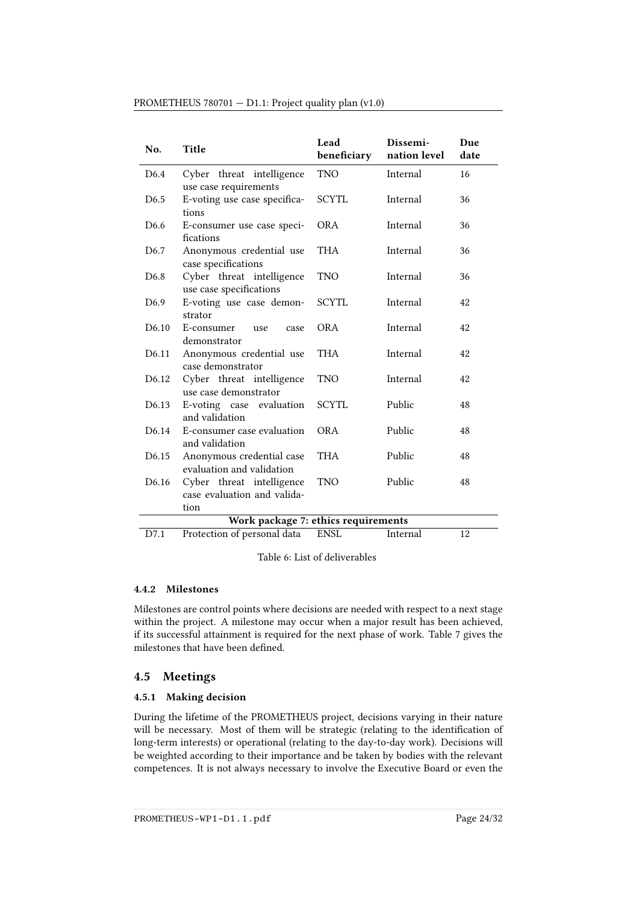| No.               | Title                                                            | Lead<br>beneficiary | Dissemi-<br>nation level | Due<br>date |
|-------------------|------------------------------------------------------------------|---------------------|--------------------------|-------------|
| D <sub>6.4</sub>  | Cyber threat intelligence<br>use case requirements               | <b>TNO</b>          | Internal                 | 16          |
| D <sub>6.5</sub>  | E-voting use case specifica-<br>tions                            | <b>SCYTL</b>        | Internal                 | 36          |
| D <sub>6.6</sub>  | E-consumer use case speci-<br>fications                          | <b>ORA</b>          | Internal                 | 36          |
| D <sub>6.7</sub>  | Anonymous credential use<br>case specifications                  | THA                 | Internal                 | 36          |
| D <sub>6.8</sub>  | Cyber threat intelligence<br>use case specifications             | <b>TNO</b>          | Internal                 | 36          |
| D <sub>6.9</sub>  | E-voting use case demon-<br>strator                              | SCYTL               | Internal                 | 42          |
| D <sub>6.10</sub> | E-consumer<br>use<br>case<br>demonstrator                        | <b>ORA</b>          | Internal                 | 42          |
| D6.11             | Anonymous credential use<br>case demonstrator                    | THA                 | Internal                 | 42          |
| D6.12             | Cyber threat intelligence<br>use case demonstrator               | <b>TNO</b>          | Internal                 | 42          |
| D <sub>6.13</sub> | E-voting case evaluation<br>and validation                       | <b>SCYTL</b>        | Public                   | 48          |
| D <sub>6.14</sub> | E-consumer case evaluation<br>and validation                     | OR A                | Public                   | 48          |
| D6.15             | Anonymous credential case<br>evaluation and validation           | THA                 | Public                   | 48          |
| D6.16             | Cyber threat intelligence<br>case evaluation and valida-<br>tion | <b>TNO</b>          | Public                   | 48          |
|                   | Work package 7: ethics requirements                              |                     |                          |             |
| D7.1              | Protection of personal data                                      | <b>ENSL</b>         | Internal                 | 12          |

#### PROMETHEUS 780701 — D1.1: Project quality plan (v1.0)

Table 6: List of deliverables

#### 4.4.2 Milestones

Milestones are control points where decisions are needed with respect to a next stage within the project. A milestone may occur when a major result has been achieved, if its successful attainment is required for the next phase of work. Table [7](#page-24-0) gives the milestones that have been defined.

#### <span id="page-23-0"></span>4.5 Meetings

#### 4.5.1 Making decision

During the lifetime of the PROMETHEUS project, decisions varying in their nature will be necessary. Most of them will be strategic (relating to the identification of long-term interests) or operational (relating to the day-to-day work). Decisions will be weighted according to their importance and be taken by bodies with the relevant competences. It is not always necessary to involve the Executive Board or even the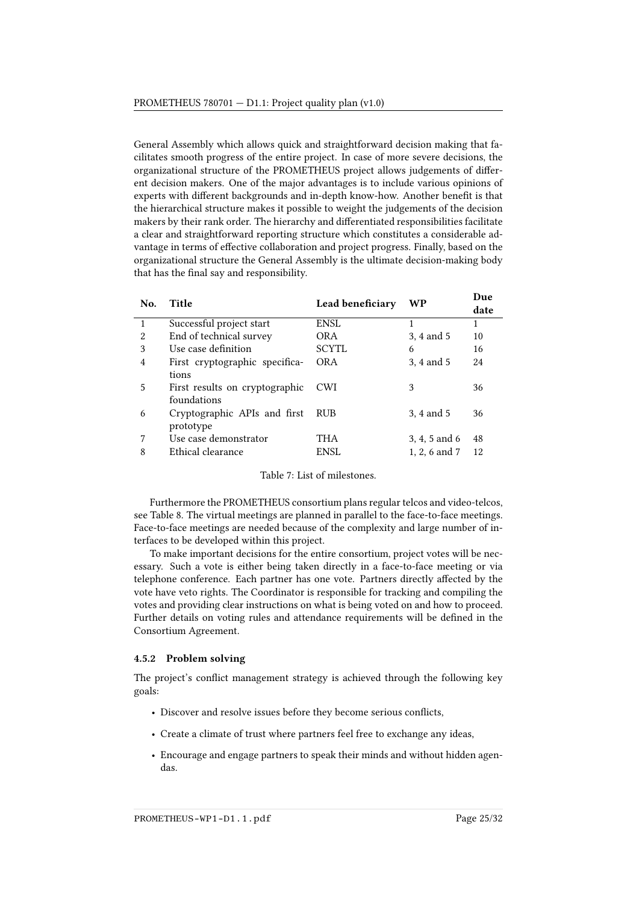General Assembly which allows quick and straightforward decision making that facilitates smooth progress of the entire project. In case of more severe decisions, the organizational structure of the PROMETHEUS project allows judgements of different decision makers. One of the major advantages is to include various opinions of experts with different backgrounds and in-depth know-how. Another benefit is that the hierarchical structure makes it possible to weight the judgements of the decision makers by their rank order. The hierarchy and differentiated responsibilities facilitate a clear and straightforward reporting structure which constitutes a considerable advantage in terms of effective collaboration and project progress. Finally, based on the organizational structure the General Assembly is the ultimate decision-making body that has the final say and responsibility.

<span id="page-24-0"></span>

| No.            | Title                          | Lead beneficiary | WP            | Due<br>date |
|----------------|--------------------------------|------------------|---------------|-------------|
| 1              | Successful project start       | <b>ENSL</b>      | 1             | 1           |
| 2              | End of technical survey        | <b>ORA</b>       | 3, 4 and 5    | 10          |
| 3              | Use case definition            | <b>SCYTL</b>     | 6             | 16          |
| $\overline{4}$ | First cryptographic specifica- | <b>ORA</b>       | 3, 4 and 5    | 24          |
|                | tions                          |                  |               |             |
| 5              | First results on cryptographic | <b>CWI</b>       | 3             | 36          |
|                | foundations                    |                  |               |             |
| 6              | Cryptographic APIs and first   | <b>RUB</b>       | 3, 4 and 5    | 36          |
|                | prototype                      |                  |               |             |
| 7              | Use case demonstrator          | THA              | 3, 4, 5 and 6 | 48          |
| 8              | Ethical clearance              | <b>ENSL</b>      | 1, 2, 6 and 7 | 12          |

Table 7: List of milestones.

Furthermore the PROMETHEUS consortium plans regular telcos and video-telcos, see Table [8.](#page-25-0) The virtual meetings are planned in parallel to the face-to-face meetings. Face-to-face meetings are needed because of the complexity and large number of interfaces to be developed within this project.

To make important decisions for the entire consortium, project votes will be necessary. Such a vote is either being taken directly in a face-to-face meeting or via telephone conference. Each partner has one vote. Partners directly affected by the vote have veto rights. The Coordinator is responsible for tracking and compiling the votes and providing clear instructions on what is being voted on and how to proceed. Further details on voting rules and attendance requirements will be defined in the Consortium Agreement.

#### 4.5.2 Problem solving

The project's conflict management strategy is achieved through the following key goals:

- Discover and resolve issues before they become serious conflicts,
- Create a climate of trust where partners feel free to exchange any ideas,
- Encourage and engage partners to speak their minds and without hidden agendas.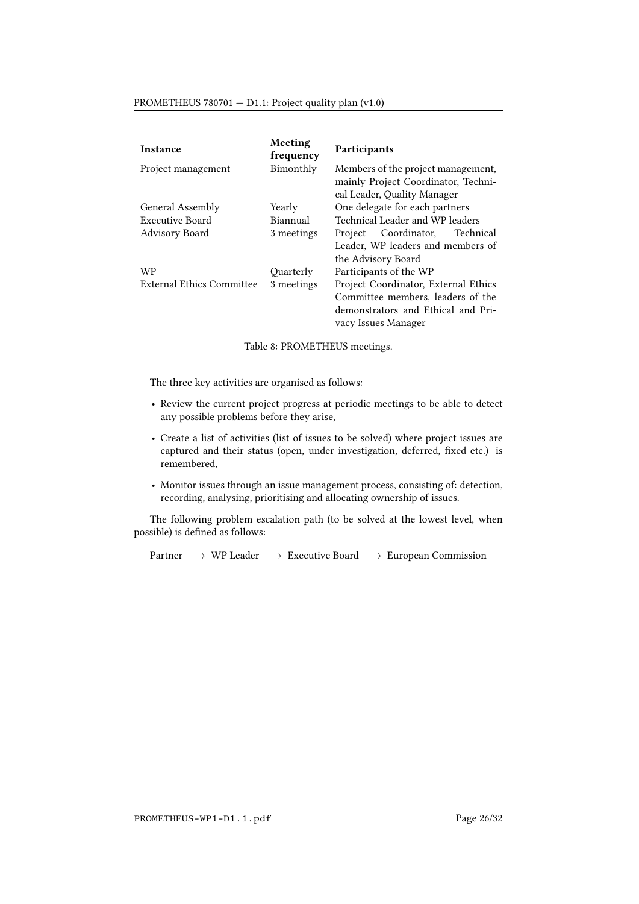#### PROMETHEUS 780701 — D1.1: Project quality plan (v1.0)

<span id="page-25-0"></span>

| Instance                         | Meeting<br>frequency | <b>Participants</b>                  |  |
|----------------------------------|----------------------|--------------------------------------|--|
| Bimonthly<br>Project management  |                      | Members of the project management,   |  |
|                                  |                      | mainly Project Coordinator, Techni-  |  |
|                                  |                      | cal Leader, Quality Manager          |  |
| General Assembly                 | Yearly               | One delegate for each partners       |  |
| Executive Board                  | Biannual             | Technical Leader and WP leaders      |  |
| Advisory Board                   | 3 meetings           | Coordinator,<br>Technical<br>Project |  |
|                                  |                      | Leader, WP leaders and members of    |  |
|                                  |                      | the Advisory Board                   |  |
| WP                               | Quarterly            | Participants of the WP               |  |
| <b>External Ethics Committee</b> | 3 meetings           | Project Coordinator, External Ethics |  |
|                                  |                      | Committee members, leaders of the    |  |
|                                  |                      | demonstrators and Ethical and Pri-   |  |
|                                  |                      | vacy Issues Manager                  |  |

Table 8: PROMETHEUS meetings.

The three key activities are organised as follows:

- Review the current project progress at periodic meetings to be able to detect any possible problems before they arise,
- Create a list of activities (list of issues to be solved) where project issues are captured and their status (open, under investigation, deferred, fixed etc.) is remembered,
- Monitor issues through an issue management process, consisting of: detection, recording, analysing, prioritising and allocating ownership of issues.

The following problem escalation path (to be solved at the lowest level, when possible) is defined as follows:

Partner → WP Leader → Executive Board → European Commission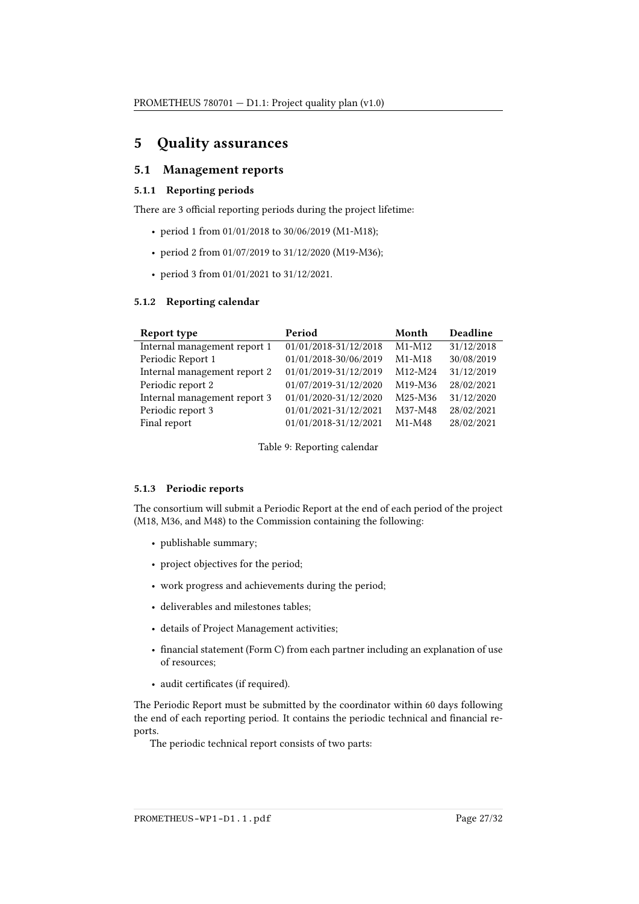## <span id="page-26-0"></span>5 Quality assurances

## <span id="page-26-1"></span>5.1 Management reports

#### 5.1.1 Reporting periods

There are 3 official reporting periods during the project lifetime:

- period 1 from 01/01/2018 to 30/06/2019 (M1-M18);
- period 2 from 01/07/2019 to 31/12/2020 (M19-M36);
- period 3 from 01/01/2021 to 31/12/2021.

#### 5.1.2 Reporting calendar

| Report type                  | Period                | Month    | Deadline   |
|------------------------------|-----------------------|----------|------------|
| Internal management report 1 | 01/01/2018-31/12/2018 | $M1-M12$ | 31/12/2018 |
| Periodic Report 1            | 01/01/2018-30/06/2019 | $M1-M18$ | 30/08/2019 |
| Internal management report 2 | 01/01/2019-31/12/2019 | M12-M24  | 31/12/2019 |
| Periodic report 2            | 01/07/2019-31/12/2020 | M19-M36  | 28/02/2021 |
| Internal management report 3 | 01/01/2020-31/12/2020 | M25-M36  | 31/12/2020 |
| Periodic report 3            | 01/01/2021-31/12/2021 | M37-M48  | 28/02/2021 |
| Final report                 | 01/01/2018-31/12/2021 | $M1-M48$ | 28/02/2021 |

Table 9: Reporting calendar

#### 5.1.3 Periodic reports

The consortium will submit a Periodic Report at the end of each period of the project (M18, M36, and M48) to the Commission containing the following:

- publishable summary;
- project objectives for the period;
- work progress and achievements during the period;
- deliverables and milestones tables;
- details of Project Management activities;
- financial statement (Form C) from each partner including an explanation of use of resources;
- audit certificates (if required).

The Periodic Report must be submitted by the coordinator within 60 days following the end of each reporting period. It contains the periodic technical and financial reports.

The periodic technical report consists of two parts:

PROMETHEUS-WP1-D1.1.pdf Page 27/32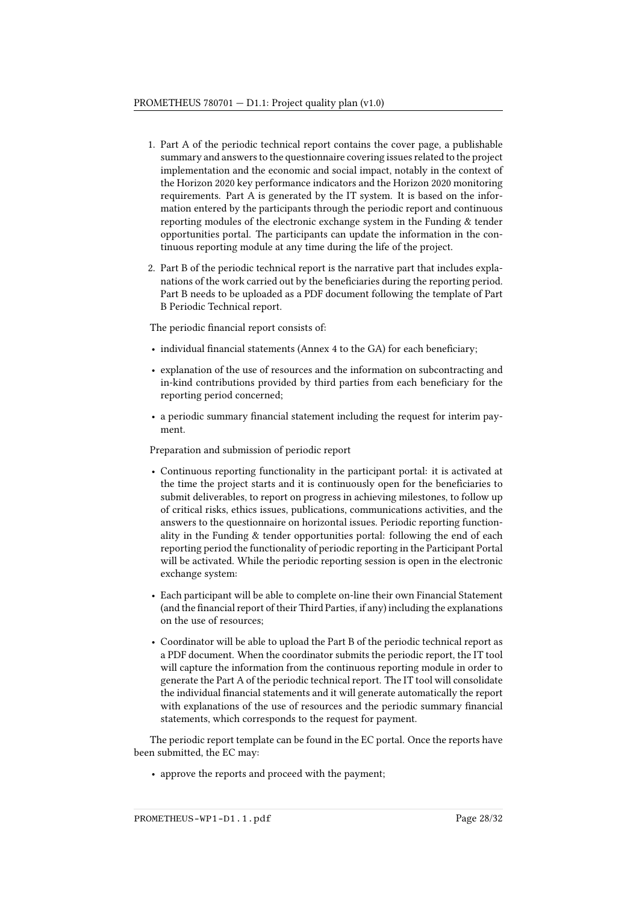- 1. Part A of the periodic technical report contains the cover page, a publishable summary and answers to the questionnaire covering issues related to the project implementation and the economic and social impact, notably in the context of the Horizon 2020 key performance indicators and the Horizon 2020 monitoring requirements. Part A is generated by the IT system. It is based on the information entered by the participants through the periodic report and continuous reporting modules of the electronic exchange system in the Funding & tender opportunities portal. The participants can update the information in the continuous reporting module at any time during the life of the project.
- 2. Part B of the periodic technical report is the narrative part that includes explanations of the work carried out by the beneficiaries during the reporting period. Part B needs to be uploaded as a PDF document following the template of Part B Periodic Technical report.

The periodic financial report consists of:

- $\bullet$  individual financial statements (Annex 4 to the GA) for each beneficiary;
- explanation of the use of resources and the information on subcontracting and in-kind contributions provided by third parties from each beneficiary for the reporting period concerned;
- a periodic summary financial statement including the request for interim payment.

Preparation and submission of periodic report

- Continuous reporting functionality in the participant portal: it is activated at the time the project starts and it is continuously open for the beneficiaries to submit deliverables, to report on progress in achieving milestones, to follow up of critical risks, ethics issues, publications, communications activities, and the answers to the questionnaire on horizontal issues. Periodic reporting functionality in the Funding & tender opportunities portal: following the end of each reporting period the functionality of periodic reporting in the Participant Portal will be activated. While the periodic reporting session is open in the electronic exchange system:
- Each participant will be able to complete on-line their own Financial Statement (and the financial report of their Third Parties, if any) including the explanations on the use of resources;
- Coordinator will be able to upload the Part B of the periodic technical report as a PDF document. When the coordinator submits the periodic report, the IT tool will capture the information from the continuous reporting module in order to generate the Part A of the periodic technical report. The IT tool will consolidate the individual financial statements and it will generate automatically the report with explanations of the use of resources and the periodic summary financial statements, which corresponds to the request for payment.

The periodic report template can be found in the [EC portal.](http://ec.europa.eu/research/participants/data/ref/h2020/gm/reporting/h2020-tmpl-periodicrep_en.pdf) Once the reports have been submitted, the EC may:

• approve the reports and proceed with the payment;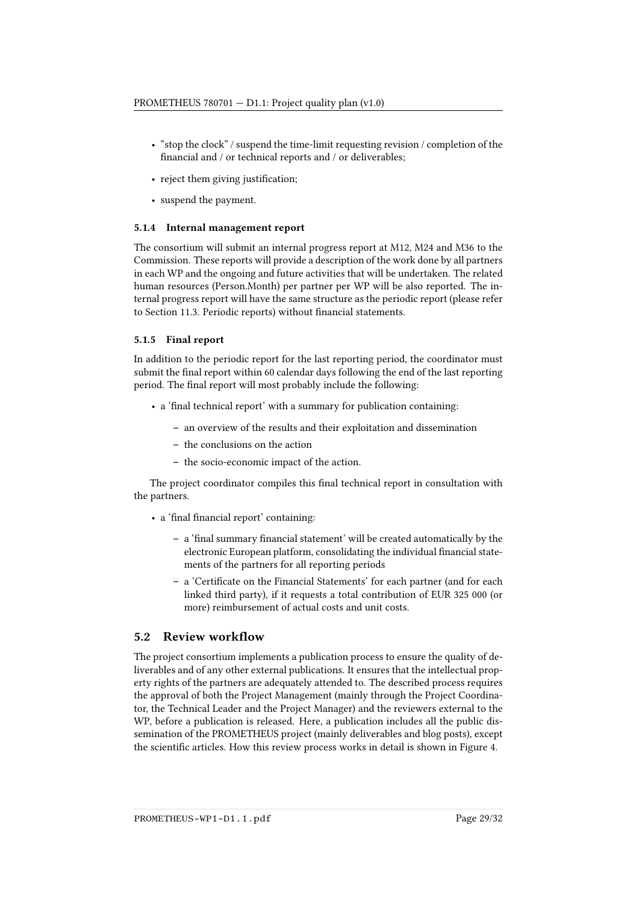- "stop the clock" / suspend the time-limit requesting revision / completion of the financial and / or technical reports and / or deliverables;
- reject them giving justification;
- suspend the payment.

#### 5.1.4 Internal management report

The consortium will submit an internal progress report at M12, M24 and M36 to the Commission. These reports will provide a description of the work done by all partners in each WP and the ongoing and future activities that will be undertaken. The related human resources (Person.Month) per partner per WP will be also reported. The internal progress report will have the same structure as the periodic report (please refer to Section 11.3. Periodic reports) without financial statements.

#### 5.1.5 Final report

In addition to the periodic report for the last reporting period, the coordinator must submit the final report within 60 calendar days following the end of the last reporting period. The final report will most probably include the following:

- a 'final technical report' with a summary for publication containing:
	- an overview of the results and their exploitation and dissemination
	- the conclusions on the action
	- the socio-economic impact of the action.

The project coordinator compiles this final technical report in consultation with the partners.

- a 'final financial report' containing:
	- $-$  a 'final summary financial statement' will be created automatically by the electronic European platform, consolidating the individual financial statements of the partners for all reporting periods
	- a 'Certicate on the Financial Statements' for each partner (and for each linked third party), if it requests a total contribution of EUR 325 000 (or more) reimbursement of actual costs and unit costs.

## <span id="page-28-0"></span>5.2 Review workflow

The project consortium implements a publication process to ensure the quality of deliverables and of any other external publications. It ensures that the intellectual property rights of the partners are adequately attended to. The described process requires the approval of both the Project Management (mainly through the Project Coordinator, the Technical Leader and the Project Manager) and the reviewers external to the WP, before a publication is released. Here, a publication includes all the public dissemination of the PROMETHEUS project (mainly deliverables and blog posts), except the scientific articles. How this review process works in detail is shown in Figure [4.](#page-29-1)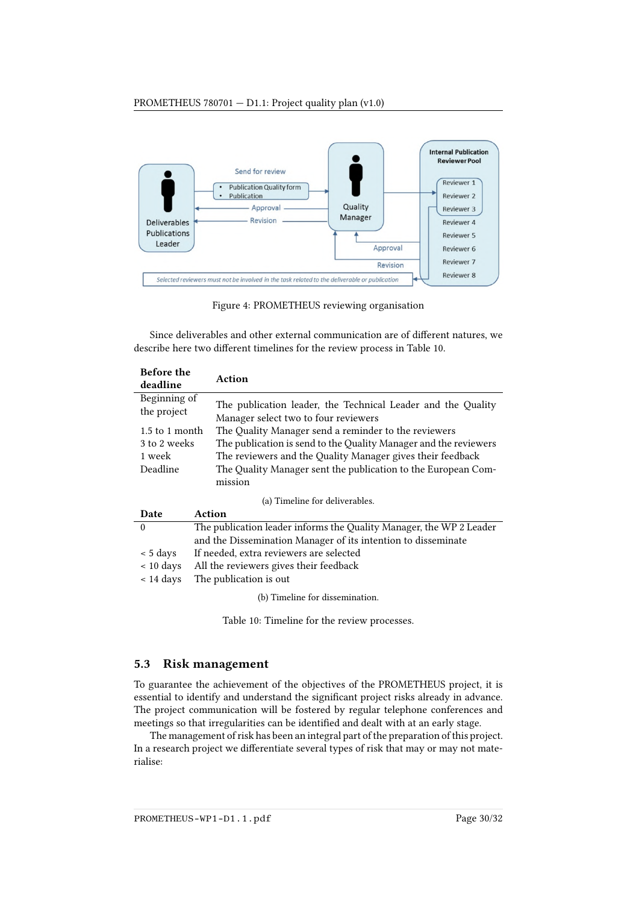<span id="page-29-1"></span>

Figure 4: PROMETHEUS reviewing organisation

Since deliverables and other external communication are of different natures, we describe here two different timelines for the review process in Table [10.](#page-29-2)

<span id="page-29-2"></span>

| <b>Before the</b><br>deadline | Action                                                                                               |  |  |  |
|-------------------------------|------------------------------------------------------------------------------------------------------|--|--|--|
| Beginning of<br>the project   | The publication leader, the Technical Leader and the Quality<br>Manager select two to four reviewers |  |  |  |
| $1.5$ to 1 month              | The Quality Manager send a reminder to the reviewers                                                 |  |  |  |
| 3 to 2 weeks                  | The publication is send to the Quality Manager and the reviewers                                     |  |  |  |
| 1 week                        | The reviewers and the Quality Manager gives their feedback                                           |  |  |  |
| Deadline                      | The Quality Manager sent the publication to the European Com-                                        |  |  |  |
|                               | mission                                                                                              |  |  |  |
|                               | (a) Timeline for deliverables.                                                                       |  |  |  |
| <b>Date</b>                   | Action                                                                                               |  |  |  |
| $\theta$                      | The publication leader informs the Quality Manager, the WP 2 Leader                                  |  |  |  |
|                               | and the Dissemination Manager of its intention to disseminate                                        |  |  |  |
| $\approx$ 5 days              | If needed, extra reviewers are selected                                                              |  |  |  |
| $~10~{\rm days}$              | All the reviewers gives their feedback                                                               |  |  |  |
| $\approx$ 14 days             | The publication is out                                                                               |  |  |  |
|                               | (b) Timeline for dissemination.                                                                      |  |  |  |

Table 10: Timeline for the review processes.

### <span id="page-29-0"></span>5.3 Risk management

To guarantee the achievement of the objectives of the PROMETHEUS project, it is essential to identify and understand the significant project risks already in advance. The project communication will be fostered by regular telephone conferences and meetings so that irregularities can be identified and dealt with at an early stage.

The management of risk has been an integral part of the preparation of this project. In a research project we differentiate several types of risk that may or may not materialise: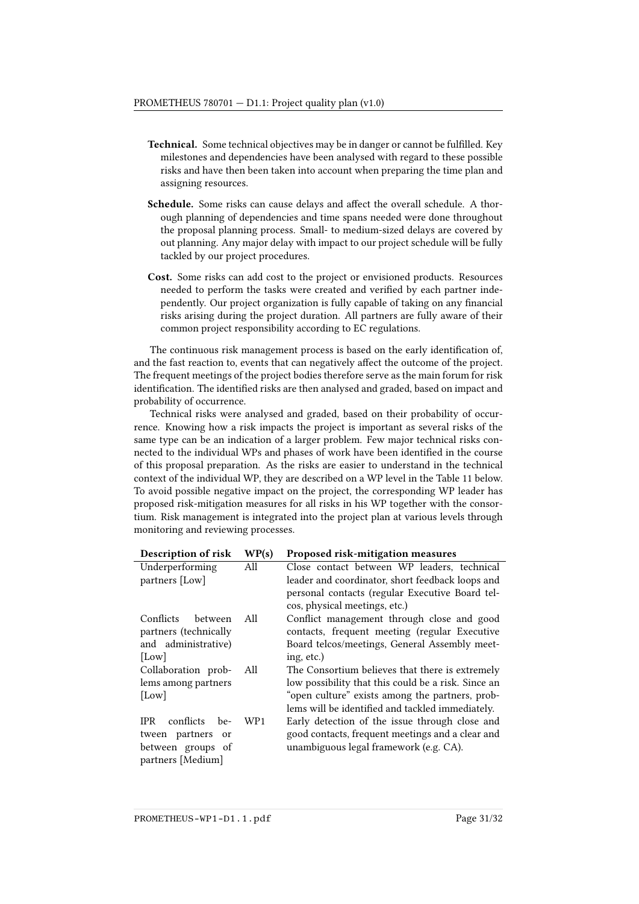- Technical. Some technical objectives may be in danger or cannot be fullled. Key milestones and dependencies have been analysed with regard to these possible risks and have then been taken into account when preparing the time plan and assigning resources.
- Schedule. Some risks can cause delays and affect the overall schedule. A thorough planning of dependencies and time spans needed were done throughout the proposal planning process. Small- to medium-sized delays are covered by out planning. Any major delay with impact to our project schedule will be fully tackled by our project procedures.
- Cost. Some risks can add cost to the project or envisioned products. Resources needed to perform the tasks were created and verified by each partner independently. Our project organization is fully capable of taking on any financial risks arising during the project duration. All partners are fully aware of their common project responsibility according to EC regulations.

The continuous risk management process is based on the early identification of, and the fast reaction to, events that can negatively affect the outcome of the project. The frequent meetings of the project bodies therefore serve as the main forum for risk identification. The identified risks are then analysed and graded, based on impact and probability of occurrence.

Technical risks were analysed and graded, based on their probability of occurrence. Knowing how a risk impacts the project is important as several risks of the same type can be an indication of a larger problem. Few major technical risks connected to the individual WPs and phases of work have been identified in the course of this proposal preparation. As the risks are easier to understand in the technical context of the individual WP, they are described on a WP level in the Table [11](#page-30-0) below. To avoid possible negative impact on the project, the corresponding WP leader has proposed risk-mitigation measures for all risks in his WP together with the consortium. Risk management is integrated into the project plan at various levels through monitoring and reviewing processes.

<span id="page-30-0"></span>

| Description of risk         | WP(s)           | Proposed risk-mitigation measures                   |
|-----------------------------|-----------------|-----------------------------------------------------|
| Underperforming             | All             | Close contact between WP leaders, technical         |
| partners [Low]              |                 | leader and coordinator, short feedback loops and    |
|                             |                 | personal contacts (regular Executive Board tel-     |
|                             |                 | cos, physical meetings, etc.)                       |
| Conflicts<br>between        | All             | Conflict management through close and good          |
| partners (technically       |                 | contacts, frequent meeting (regular Executive       |
| and administrative)         |                 | Board telcos/meetings, General Assembly meet-       |
| [Low]                       |                 | ing, etc.)                                          |
| Collaboration prob-         | All             | The Consortium believes that there is extremely     |
| lems among partners         |                 | low possibility that this could be a risk. Since an |
| [Low]                       |                 | "open culture" exists among the partners, prob-     |
|                             |                 | lems will be identified and tackled immediately.    |
| conflicts be-<br><b>IPR</b> | WP <sub>1</sub> | Early detection of the issue through close and      |
| tween partners or           |                 | good contacts, frequent meetings and a clear and    |
| between groups of           |                 | unambiguous legal framework (e.g. CA).              |
| partners [Medium]           |                 |                                                     |